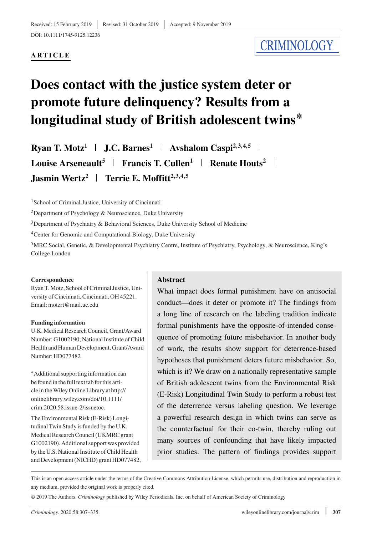DOI: 10.1111/1745-9125.12236

## **ARTICLE**

## **CRIMINOLOGY**

# **Does contact with the justice system deter or promote future delinquency? Results from a longitudinal study of British adolescent twins<sup>∗</sup>**

**Ryan T. Motz<sup>1</sup> <b>J.C. Barnes**<sup>1</sup> **Avshalom Caspi**<sup>2,3,4,5</sup> **l Louise Arseneault<sup>5</sup> | Francis T. Cullen<sup>1</sup> | Renate Houts<sup>2</sup> | Jasmin Wertz<sup>2</sup> | Terrie E. Moffitt**<sup>2,3,4,5</sup>

<sup>1</sup> School of Criminal Justice, University of Cincinnati

2Department of Psychology & Neuroscience, Duke University

<sup>3</sup>Department of Psychiatry & Behavioral Sciences, Duke University School of Medicine

4Center for Genomic and Computational Biology, Duke University

5MRC Social, Genetic, & Developmental Psychiatry Centre, Institute of Psychiatry, Psychology, & Neuroscience, King's College London

#### **Correspondence**

Ryan T. Motz, School of Criminal Justice, University of Cincinnati, Cincinnati, OH 45221. Email: motzrt@mail.uc.edu

#### **Funding information**

U.K. Medical Research Council, Grant/Award Number: G1002190; National Institute of Child Health and Human Development, Grant/Award Number: HD077482

<sup>∗</sup>Additional supporting information can be found in the full text tab for this article in theWiley Online Library at [http://](http://onlinelibrary.wiley.com/doi/10.1111/crim.2020.58.issue-2/issuetoc) [onlinelibrary.wiley.com/doi/10.1111/](http://onlinelibrary.wiley.com/doi/10.1111/crim.2020.58.issue-2/issuetoc) [crim.2020.58.issue-2/issuetoc.](http://onlinelibrary.wiley.com/doi/10.1111/crim.2020.58.issue-2/issuetoc)

The Environmental Risk (E-Risk) Longitudinal Twin Study is funded by the U.K. Medical Research Council (UKMRC grant G1002190). Additional support was provided by the U.S. National Institute of Child Health and Development (NICHD) grant HD077482,

#### **Abstract**

What impact does formal punishment have on antisocial conduct—does it deter or promote it? The findings from a long line of research on the labeling tradition indicate formal punishments have the opposite-of-intended consequence of promoting future misbehavior. In another body of work, the results show support for deterrence-based hypotheses that punishment deters future misbehavior. So, which is it? We draw on a nationally representative sample of British adolescent twins from the Environmental Risk (E-Risk) Longitudinal Twin Study to perform a robust test of the deterrence versus labeling question. We leverage a powerful research design in which twins can serve as the counterfactual for their co-twin, thereby ruling out many sources of confounding that have likely impacted prior studies. The pattern of findings provides support

This is an open access article under the terms of the [Creative Commons Attribution](http://creativecommons.org/licenses/by/4.0/) License, which permits use, distribution and reproduction in any medium, provided the original work is properly cited.

© 2019 The Authors. *Criminology* published by Wiley Periodicals, Inc. on behalf of American Society of Criminology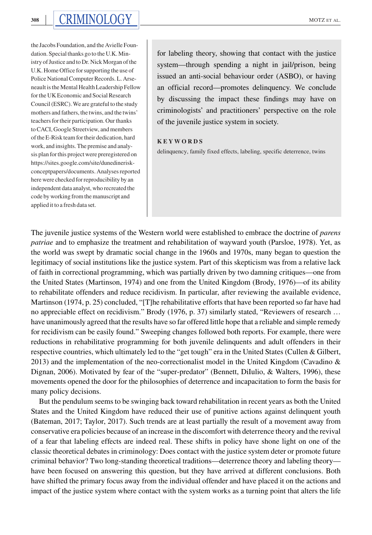the Jacobs Foundation, and the Avielle Foundation. Special thanks go to the U.K. Ministry of Justice and to Dr. Nick Morgan of the U.K. Home Office for supporting the use of Police National Computer Records. L. Arseneault is the Mental Health Leadership Fellow for the UK Economic and Social Research Council (ESRC).We are grateful to the study mothers and fathers, the twins, and the twins' teachers for their participation. Our thanks to CACI, Google Streetview, and members of the E-Risk team for their dedication, hard work, and insights. The premise and analysis plan for this project were preregistered on [https://sites.google.com/site/dunedinerisk](https://sites.google.com/site/dunedineriskconceptpapers/documents)[conceptpapers/documents.](https://sites.google.com/site/dunedineriskconceptpapers/documents) Analyses reported here were checked for reproducibility by an independent data analyst, who recreated the code by working from the manuscript and applied it to a fresh data set.

for labeling theory, showing that contact with the justice system—through spending a night in jail/prison, being issued an anti-social behaviour order (ASBO), or having an official record—promotes delinquency. We conclude by discussing the impact these findings may have on criminologists' and practitioners' perspective on the role of the juvenile justice system in society.

#### **KEYWORDS**

delinquency, family fixed effects, labeling, specific deterrence, twins

The juvenile justice systems of the Western world were established to embrace the doctrine of *parens patriae* and to emphasize the treatment and rehabilitation of wayward youth (Parsloe, 1978). Yet, as the world was swept by dramatic social change in the 1960s and 1970s, many began to question the legitimacy of social institutions like the justice system. Part of this skepticism was from a relative lack of faith in correctional programming, which was partially driven by two damning critiques—one from the United States (Martinson, 1974) and one from the United Kingdom (Brody, 1976)—of its ability to rehabilitate offenders and reduce recidivism. In particular, after reviewing the available evidence, Martinson (1974, p. 25) concluded, "[T]he rehabilitative efforts that have been reported so far have had no appreciable effect on recidivism." Brody (1976, p. 37) similarly stated, "Reviewers of research … have unanimously agreed that the results have so far offered little hope that a reliable and simple remedy for recidivism can be easily found." Sweeping changes followed both reports. For example, there were reductions in rehabilitative programming for both juvenile delinquents and adult offenders in their respective countries, which ultimately led to the "get tough" era in the United States (Cullen & Gilbert, 2013) and the implementation of the neo-correctionalist model in the United Kingdom (Cavadino  $\&$ Dignan, 2006). Motivated by fear of the "super-predator" (Bennett, DiIulio, & Walters, 1996), these movements opened the door for the philosophies of deterrence and incapacitation to form the basis for many policy decisions.

But the pendulum seems to be swinging back toward rehabilitation in recent years as both the United States and the United Kingdom have reduced their use of punitive actions against delinquent youth (Bateman, 2017; Taylor, 2017). Such trends are at least partially the result of a movement away from conservative era policies because of an increase in the discomfort with deterrence theory and the revival of a fear that labeling effects are indeed real. These shifts in policy have shone light on one of the classic theoretical debates in criminology: Does contact with the justice system deter or promote future criminal behavior? Two long-standing theoretical traditions—deterrence theory and labeling theory have been focused on answering this question, but they have arrived at different conclusions. Both have shifted the primary focus away from the individual offender and have placed it on the actions and impact of the justice system where contact with the system works as a turning point that alters the life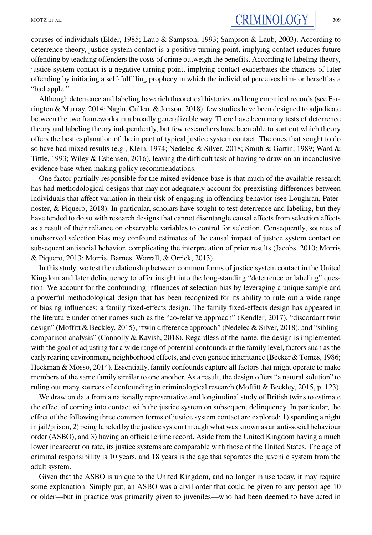courses of individuals (Elder, 1985; Laub & Sampson, 1993; Sampson & Laub, 2003). According to deterrence theory, justice system contact is a positive turning point, implying contact reduces future offending by teaching offenders the costs of crime outweigh the benefits. According to labeling theory, justice system contact is a negative turning point, implying contact exacerbates the chances of later offending by initiating a self-fulfilling prophecy in which the individual perceives him- or herself as a "bad apple."

Although deterrence and labeling have rich theoretical histories and long empirical records (see Farrington & Murray, 2014; Nagin, Cullen, & Jonson, 2018), few studies have been designed to adjudicate between the two frameworks in a broadly generalizable way. There have been many tests of deterrence theory and labeling theory independently, but few researchers have been able to sort out which theory offers the best explanation of the impact of typical justice system contact. The ones that sought to do so have had mixed results (e.g., Klein, 1974; Nedelec & Silver, 2018; Smith & Gartin, 1989; Ward & Tittle, 1993; Wiley & Esbensen, 2016), leaving the difficult task of having to draw on an inconclusive evidence base when making policy recommendations.

One factor partially responsible for the mixed evidence base is that much of the available research has had methodological designs that may not adequately account for preexisting differences between individuals that affect variation in their risk of engaging in offending behavior (see Loughran, Paternoster, & Piquero, 2018). In particular, scholars have sought to test deterrence and labeling, but they have tended to do so with research designs that cannot disentangle causal effects from selection effects as a result of their reliance on observable variables to control for selection. Consequently, sources of unobserved selection bias may confound estimates of the causal impact of justice system contact on subsequent antisocial behavior, complicating the interpretation of prior results (Jacobs, 2010; Morris & Piquero, 2013; Morris, Barnes, Worrall, & Orrick, 2013).

In this study, we test the relationship between common forms of justice system contact in the United Kingdom and later delinquency to offer insight into the long-standing "deterrence or labeling" question. We account for the confounding influences of selection bias by leveraging a unique sample and a powerful methodological design that has been recognized for its ability to rule out a wide range of biasing influences: a family fixed-effects design. The family fixed-effects design has appeared in the literature under other names such as the "co-relative approach" (Kendler, 2017), "discordant twin design" (Moffitt & Beckley, 2015), "twin difference approach" (Nedelec & Silver, 2018), and "siblingcomparison analysis" (Connolly & Kavish, 2018). Regardless of the name, the design is implemented with the goal of adjusting for a wide range of potential confounds at the family level, factors such as the early rearing environment, neighborhood effects, and even genetic inheritance (Becker & Tomes, 1986; Heckman & Mosso, 2014). Essentially, family confounds capture all factors that might operate to make members of the same family similar to one another. As a result, the design offers "a natural solution" to ruling out many sources of confounding in criminological research (Moffitt & Beckley, 2015, p. 123).

We draw on data from a nationally representative and longitudinal study of British twins to estimate the effect of coming into contact with the justice system on subsequent delinquency. In particular, the effect of the following three common forms of justice system contact are explored: 1) spending a night in jail/prison, 2) being labeled by the justice system through what was known as an anti-social behaviour order (ASBO), and 3) having an official crime record. Aside from the United Kingdom having a much lower incarceration rate, its justice systems are comparable with those of the United States. The age of criminal responsibility is 10 years, and 18 years is the age that separates the juvenile system from the adult system.

Given that the ASBO is unique to the United Kingdom, and no longer in use today, it may require some explanation. Simply put, an ASBO was a civil order that could be given to any person age 10 or older—but in practice was primarily given to juveniles—who had been deemed to have acted in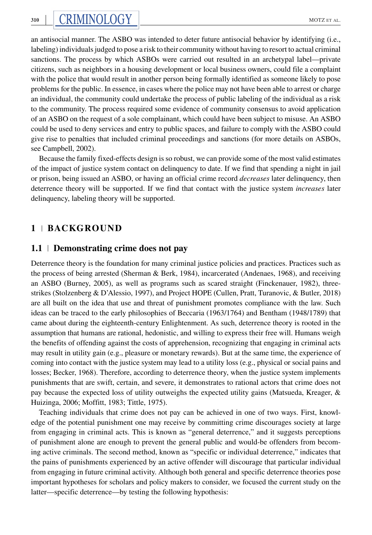**310** | CRIMINOLOGY | MOTZ ET AL.

an antisocial manner. The ASBO was intended to deter future antisocial behavior by identifying (i.e., labeling) individuals judged to pose a risk to their community without having to resort to actual criminal sanctions. The process by which ASBOs were carried out resulted in an archetypal label—private citizens, such as neighbors in a housing development or local business owners, could file a complaint with the police that would result in another person being formally identified as someone likely to pose problems for the public. In essence, in cases where the police may not have been able to arrest or charge an individual, the community could undertake the process of public labeling of the individual as a risk to the community. The process required some evidence of community consensus to avoid application of an ASBO on the request of a sole complainant, which could have been subject to misuse. An ASBO could be used to deny services and entry to public spaces, and failure to comply with the ASBO could give rise to penalties that included criminal proceedings and sanctions (for more details on ASBOs, see Campbell, 2002).

Because the family fixed-effects design is so robust, we can provide some of the most valid estimates of the impact of justice system contact on delinquency to date. If we find that spending a night in jail or prison, being issued an ASBO, or having an official crime record *decreases* later delinquency, then deterrence theory will be supported. If we find that contact with the justice system *increases* later delinquency, labeling theory will be supported.

## **1 BACKGROUND**

#### **1.1 Demonstrating crime does not pay**

Deterrence theory is the foundation for many criminal justice policies and practices. Practices such as the process of being arrested (Sherman & Berk, 1984), incarcerated (Andenaes, 1968), and receiving an ASBO (Burney, 2005), as well as programs such as scared straight (Finckenauer, 1982), threestrikes (Stolzenberg & D'Alessio, 1997), and Project HOPE (Cullen, Pratt, Turanovic, & Butler, 2018) are all built on the idea that use and threat of punishment promotes compliance with the law. Such ideas can be traced to the early philosophies of Beccaria (1963/1764) and Bentham (1948/1789) that came about during the eighteenth-century Enlightenment. As such, deterrence theory is rooted in the assumption that humans are rational, hedonistic, and willing to express their free will. Humans weigh the benefits of offending against the costs of apprehension, recognizing that engaging in criminal acts may result in utility gain (e.g., pleasure or monetary rewards). But at the same time, the experience of coming into contact with the justice system may lead to a utility loss (e.g., physical or social pains and losses; Becker, 1968). Therefore, according to deterrence theory, when the justice system implements punishments that are swift, certain, and severe, it demonstrates to rational actors that crime does not pay because the expected loss of utility outweighs the expected utility gains (Matsueda, Kreager, & Huizinga, 2006; Moffitt, 1983; Tittle, 1975).

Teaching individuals that crime does not pay can be achieved in one of two ways. First, knowledge of the potential punishment one may receive by committing crime discourages society at large from engaging in criminal acts. This is known as "general deterrence," and it suggests perceptions of punishment alone are enough to prevent the general public and would-be offenders from becoming active criminals. The second method, known as "specific or individual deterrence," indicates that the pains of punishments experienced by an active offender will discourage that particular individual from engaging in future criminal activity. Although both general and specific deterrence theories pose important hypotheses for scholars and policy makers to consider, we focused the current study on the latter—specific deterrence—by testing the following hypothesis: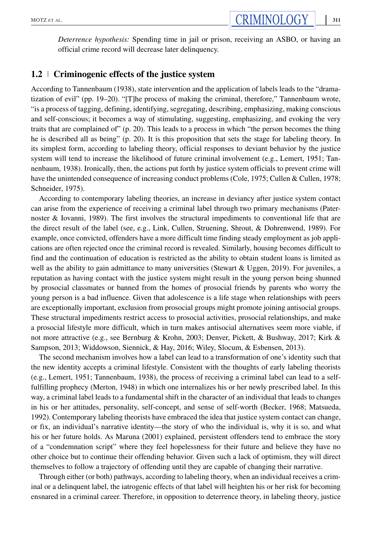*Deterrence hypothesis:* Spending time in jail or prison, receiving an ASBO, or having an official crime record will decrease later delinquency.

## **1.2 Criminogenic effects of the justice system**

According to Tannenbaum (1938), state intervention and the application of labels leads to the "dramatization of evil" (pp. 19–20). "[T]he process of making the criminal, therefore," Tannenbaum wrote, "is a process of tagging, defining, identifying, segregating, describing, emphasizing, making conscious and self-conscious; it becomes a way of stimulating, suggesting, emphasizing, and evoking the very traits that are complained of" (p. 20). This leads to a process in which "the person becomes the thing he is described all as being" (p. 20). It is this proposition that sets the stage for labeling theory. In its simplest form, according to labeling theory, official responses to deviant behavior by the justice system will tend to increase the likelihood of future criminal involvement (e.g., Lemert, 1951; Tannenbaum, 1938). Ironically, then, the actions put forth by justice system officials to prevent crime will have the unintended consequence of increasing conduct problems (Cole, 1975; Cullen & Cullen, 1978; Schneider, 1975).

According to contemporary labeling theories, an increase in deviancy after justice system contact can arise from the experience of receiving a criminal label through two primary mechanisms (Paternoster & Iovanni, 1989). The first involves the structural impediments to conventional life that are the direct result of the label (see, e.g., Link, Cullen, Struening, Shrout, & Dohrenwend, 1989). For example, once convicted, offenders have a more difficult time finding steady employment as job applications are often rejected once the criminal record is revealed. Similarly, housing becomes difficult to find and the continuation of education is restricted as the ability to obtain student loans is limited as well as the ability to gain admittance to many universities (Stewart & Uggen, 2019). For juveniles, a reputation as having contact with the justice system might result in the young person being shunned by prosocial classmates or banned from the homes of prosocial friends by parents who worry the young person is a bad influence. Given that adolescence is a life stage when relationships with peers are exceptionally important, exclusion from prosocial groups might promote joining antisocial groups. These structural impediments restrict access to prosocial activities, prosocial relationships, and make a prosocial lifestyle more difficult, which in turn makes antisocial alternatives seem more viable, if not more attractive (e.g., see Bernburg & Krohn, 2003; Denver, Pickett, & Bushway, 2017; Kirk & Sampson, 2013; Widdowson, Siennick, & Hay, 2016; Wiley, Slocum, & Esbensen, 2013).

The second mechanism involves how a label can lead to a transformation of one's identity such that the new identity accepts a criminal lifestyle. Consistent with the thoughts of early labeling theorists (e.g., Lemert, 1951; Tannenbaum, 1938), the process of receiving a criminal label can lead to a selffulfilling prophecy (Merton, 1948) in which one internalizes his or her newly prescribed label. In this way, a criminal label leads to a fundamental shift in the character of an individual that leads to changes in his or her attitudes, personality, self-concept, and sense of self-worth (Becker, 1968; Matsueda, 1992). Contemporary labeling theorists have embraced the idea that justice system contact can change, or fix, an individual's narrative identity—the story of who the individual is, why it is so, and what his or her future holds. As Maruna (2001) explained, persistent offenders tend to embrace the story of a "condemnation script" where they feel hopelessness for their future and believe they have no other choice but to continue their offending behavior. Given such a lack of optimism, they will direct themselves to follow a trajectory of offending until they are capable of changing their narrative.

Through either (or both) pathways, according to labeling theory, when an individual receives a criminal or a delinquent label, the iatrogenic effects of that label will heighten his or her risk for becoming ensnared in a criminal career. Therefore, in opposition to deterrence theory, in labeling theory, justice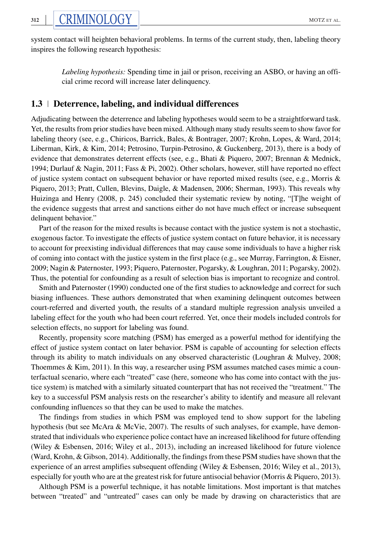system contact will heighten behavioral problems. In terms of the current study, then, labeling theory inspires the following research hypothesis:

*Labeling hypothesis:* Spending time in jail or prison, receiving an ASBO, or having an official crime record will increase later delinquency.

## **1.3 Deterrence, labeling, and individual differences**

Adjudicating between the deterrence and labeling hypotheses would seem to be a straightforward task. Yet, the results from prior studies have been mixed. Although many study results seem to show favor for labeling theory (see, e.g., Chiricos, Barrick, Bales, & Bontrager, 2007; Krohn, Lopes, & Ward, 2014; Liberman, Kirk, & Kim, 2014; Petrosino, Turpin-Petrosino, & Guckenberg, 2013), there is a body of evidence that demonstrates deterrent effects (see, e.g., Bhati & Piquero, 2007; Brennan & Mednick, 1994; Durlauf & Nagin, 2011; Fass & Pi, 2002). Other scholars, however, still have reported no effect of justice system contact on subsequent behavior or have reported mixed results (see, e.g., Morris & Piquero, 2013; Pratt, Cullen, Blevins, Daigle, & Madensen, 2006; Sherman, 1993). This reveals why Huizinga and Henry (2008, p. 245) concluded their systematic review by noting, "[T]he weight of the evidence suggests that arrest and sanctions either do not have much effect or increase subsequent delinquent behavior."

Part of the reason for the mixed results is because contact with the justice system is not a stochastic, exogenous factor. To investigate the effects of justice system contact on future behavior, it is necessary to account for preexisting individual differences that may cause some individuals to have a higher risk of coming into contact with the justice system in the first place (e.g., see Murray, Farrington,  $\&$  Eisner, 2009; Nagin & Paternoster, 1993; Piquero, Paternoster, Pogarsky, & Loughran, 2011; Pogarsky, 2002). Thus, the potential for confounding as a result of selection bias is important to recognize and control.

Smith and Paternoster (1990) conducted one of the first studies to acknowledge and correct for such biasing influences. These authors demonstrated that when examining delinquent outcomes between court-referred and diverted youth, the results of a standard multiple regression analysis unveiled a labeling effect for the youth who had been court referred. Yet, once their models included controls for selection effects, no support for labeling was found.

Recently, propensity score matching (PSM) has emerged as a powerful method for identifying the effect of justice system contact on later behavior. PSM is capable of accounting for selection effects through its ability to match individuals on any observed characteristic (Loughran & Mulvey, 2008; Thoemmes  $\&$  Kim, 2011). In this way, a researcher using PSM assumes matched cases mimic a counterfactual scenario, where each "treated" case (here, someone who has come into contact with the justice system) is matched with a similarly situated counterpart that has not received the "treatment." The key to a successful PSM analysis rests on the researcher's ability to identify and measure all relevant confounding influences so that they can be used to make the matches.

The findings from studies in which PSM was employed tend to show support for the labeling hypothesis (but see McAra & McVie, 2007). The results of such analyses, for example, have demonstrated that individuals who experience police contact have an increased likelihood for future offending (Wiley & Esbensen, 2016; Wiley et al., 2013), including an increased likelihood for future violence (Ward, Krohn, & Gibson, 2014). Additionally, the findings from these PSM studies have shown that the experience of an arrest amplifies subsequent offending (Wiley & Esbensen, 2016; Wiley et al., 2013), especially for youth who are at the greatest risk for future antisocial behavior (Morris & Piquero, 2013).

Although PSM is a powerful technique, it has notable limitations. Most important is that matches between "treated" and "untreated" cases can only be made by drawing on characteristics that are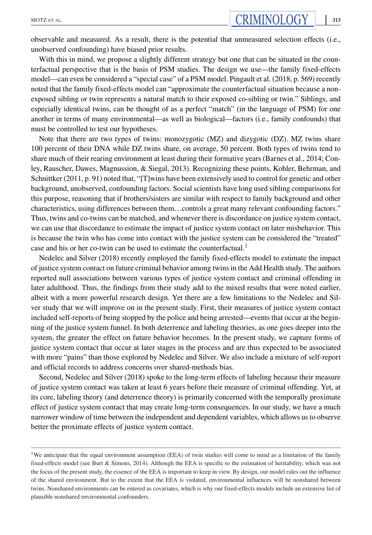observable and measured. As a result, there is the potential that unmeasured selection effects (i.e., unobserved confounding) have biased prior results.

With this in mind, we propose a slightly different strategy but one that can be situated in the counterfactual perspective that is the basis of PSM studies. The design we use—the family fixed-effects model—can even be considered a "special case" of a PSM model. Pingault et al. (2018, p. 569) recently noted that the family fixed-effects model can "approximate the counterfactual situation because a nonexposed sibling or twin represents a natural match to their exposed co-sibling or twin." Siblings, and especially identical twins, can be thought of as a perfect "match" (in the language of PSM) for one another in terms of many environmental—as well as biological—factors (i.e., family confounds) that must be controlled to test our hypotheses.

Note that there are two types of twins: monozygotic (MZ) and dizygotic (DZ). MZ twins share 100 percent of their DNA while DZ twins share, on average, 50 percent. Both types of twins tend to share much of their rearing environment at least during their formative years (Barnes et al., 2014; Conley, Rauscher, Dawes, Magnussion, & Siegal, 2013). Recognizing these points, Kohler, Behrman, and Schnittker (2011, p. 91) noted that, "[T]wins have been extensively used to control for genetic and other background, unobserved, confounding factors. Social scientists have long used sibling comparisons for this purpose, reasoning that if brothers/sisters are similar with respect to family background and other characteristics, using differences between them…controls a great many relevant confounding factors." Thus, twins and co-twins can be matched, and whenever there is discordance on justice system contact, we can use that discordance to estimate the impact of justice system contact on later misbehavior. This is because the twin who has come into contact with the justice system can be considered the "treated" case and his or her co-twin can be used to estimate the counterfactual.<sup>1</sup>

Nedelec and Silver (2018) recently employed the family fixed-effects model to estimate the impact of justice system contact on future criminal behavior among twins in the Add Health study. The authors reported null associations between various types of justice system contact and criminal offending in later adulthood. Thus, the findings from their study add to the mixed results that were noted earlier, albeit with a more powerful research design. Yet there are a few limitations to the Nedelec and Silver study that we will improve on in the present study. First, their measures of justice system contact included self-reports of being stopped by the police and being arrested—events that occur at the beginning of the justice system funnel. In both deterrence and labeling theories, as one goes deeper into the system, the greater the effect on future behavior becomes. In the present study, we capture forms of justice system contact that occur at later stages in the process and are thus expected to be associated with more "pains" than those explored by Nedelec and Silver. We also include a mixture of self-report and official records to address concerns over shared-methods bias.

Second, Nedelec and Silver (2018) spoke to the long-term effects of labeling because their measure of justice system contact was taken at least 6 years before their measure of criminal offending. Yet, at its core, labeling theory (and deterrence theory) is primarily concerned with the temporally proximate effect of justice system contact that may create long-term consequences. In our study, we have a much narrower window of time between the independent and dependent variables, which allows us to observe better the proximate effects of justice system contact.

<sup>&</sup>lt;sup>1</sup>We anticipate that the equal environment assumption (EEA) of twin studies will come to mind as a limitation of the family fixed-effects model (see Burt & Simons, 2014). Although the EEA is specific to the estimation of heritability, which was not the focus of the present study, the essence of the EEA is important to keep in view. By design, our model rules out the influence of the shared environment. But to the extent that the EEA is violated, environmental influences will be nonshared between twins. Nonshared environments can be entered as covariates, which is why our fixed-effects models include an extensive list of plausible nonshared environmental confounders.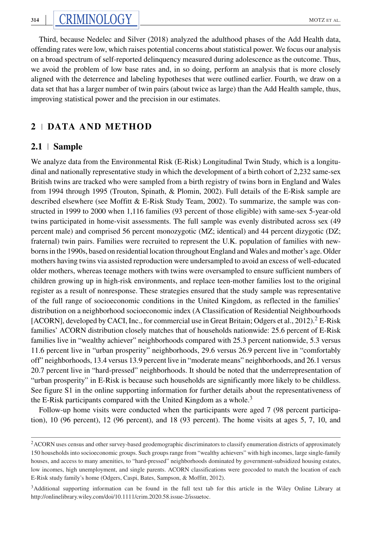**314** | **CRIMINOLOGY**  $\blacksquare$ 

Third, because Nedelec and Silver (2018) analyzed the adulthood phases of the Add Health data, offending rates were low, which raises potential concerns about statistical power. We focus our analysis on a broad spectrum of self-reported delinquency measured during adolescence as the outcome. Thus, we avoid the problem of low base rates and, in so doing, perform an analysis that is more closely aligned with the deterrence and labeling hypotheses that were outlined earlier. Fourth, we draw on a data set that has a larger number of twin pairs (about twice as large) than the Add Health sample, thus, improving statistical power and the precision in our estimates.

## **2 DATA AND METHOD**

## **2.1 Sample**

We analyze data from the Environmental Risk (E-Risk) Longitudinal Twin Study, which is a longitudinal and nationally representative study in which the development of a birth cohort of 2,232 same-sex British twins are tracked who were sampled from a birth registry of twins born in England and Wales from 1994 through 1995 (Trouton, Spinath, & Plomin, 2002). Full details of the E-Risk sample are described elsewhere (see Moffitt & E-Risk Study Team, 2002). To summarize, the sample was constructed in 1999 to 2000 when 1,116 families (93 percent of those eligible) with same-sex 5-year-old twins participated in home-visit assessments. The full sample was evenly distributed across sex (49 percent male) and comprised 56 percent monozygotic (MZ; identical) and 44 percent dizygotic (DZ; fraternal) twin pairs. Families were recruited to represent the U.K. population of families with newborns in the 1990s, based on residential location throughout England and Wales and mother's age. Older mothers having twins via assisted reproduction were undersampled to avoid an excess of well-educated older mothers, whereas teenage mothers with twins were oversampled to ensure sufficient numbers of children growing up in high-risk environments, and replace teen-mother families lost to the original register as a result of nonresponse. These strategies ensured that the study sample was representative of the full range of socioeconomic conditions in the United Kingdom, as reflected in the families' distribution on a neighborhood socioeconomic index (A Classification of Residential Neighbourhoods [ACORN], developed by CACI, Inc., for commercial use in Great Britain; Odgers et al.,  $2012$ ).<sup>2</sup> E-Risk families' ACORN distribution closely matches that of households nationwide: 25.6 percent of E-Risk families live in "wealthy achiever" neighborhoods compared with 25.3 percent nationwide, 5.3 versus 11.6 percent live in "urban prosperity" neighborhoods, 29.6 versus 26.9 percent live in "comfortably off" neighborhoods, 13.4 versus 13.9 percent live in "moderate means" neighborhoods, and 26.1 versus 20.7 percent live in "hard-pressed" neighborhoods. It should be noted that the underrepresentation of "urban prosperity" in E-Risk is because such households are significantly more likely to be childless. See figure S1 in the online supporting information for further details about the representativeness of the E-Risk participants compared with the United Kingdom as a whole.<sup>3</sup>

Follow-up home visits were conducted when the participants were aged 7 (98 percent participation), 10 (96 percent), 12 (96 percent), and 18 (93 percent). The home visits at ages 5, 7, 10, and

<sup>&</sup>lt;sup>2</sup> ACORN uses census and other survey-based geodemographic discriminators to classify enumeration districts of approximately 150 households into socioeconomic groups. Such groups range from "wealthy achievers" with high incomes, large single-family houses, and access to many amenities, to "hard-pressed" neighborhoods dominated by government-subsidized housing estates, low incomes, high unemployment, and single parents. ACORN classifications were geocoded to match the location of each E-Risk study family's home (Odgers, Caspi, Bates, Sampson, & Moffitt, 2012).

<sup>3</sup>Additional supporting information can be found in the full text tab for this article in the Wiley Online Library at [http://onlinelibrary.wiley.com/doi/10.1111/crim.2020.58.issue-2/issuetoc.](http://onlinelibrary.wiley.com/doi/10.1111/crim.2020.58.issue-2/issuetoc)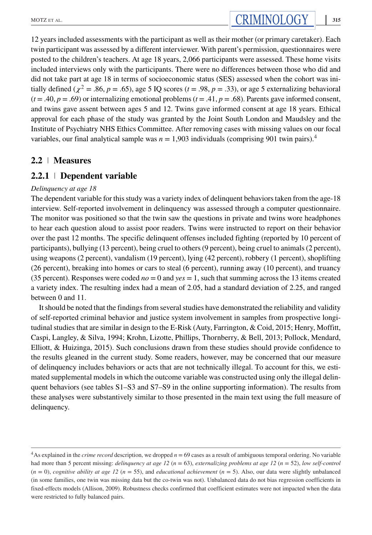## MOTZ ET AL. **315** CRIMINOLOGY 315

12 years included assessments with the participant as well as their mother (or primary caretaker). Each twin participant was assessed by a different interviewer. With parent's permission, questionnaires were posted to the children's teachers. At age 18 years, 2,066 participants were assessed. These home visits included interviews only with the participants. There were no differences between those who did and did not take part at age 18 in terms of socioeconomic status (SES) assessed when the cohort was initially defined ( $\chi^2$  = .86,  $p$  = .65), age 5 IQ scores ( $t$  = .98,  $p$  = .33), or age 5 externalizing behavioral  $(t = .40, p = .69)$  or internalizing emotional problems  $(t = .41, p = .68)$ . Parents gave informed consent, and twins gave assent between ages 5 and 12. Twins gave informed consent at age 18 years. Ethical approval for each phase of the study was granted by the Joint South London and Maudsley and the Institute of Psychiatry NHS Ethics Committee. After removing cases with missing values on our focal variables, our final analytical sample was  $n = 1,903$  individuals (comprising 901 twin pairs).<sup>4</sup>

## **2.2 Measures**

#### **2.2.1 Dependent variable**

#### *Delinquency at age 18*

The dependent variable for this study was a variety index of delinquent behaviors taken from the age-18 interview. Self-reported involvement in delinquency was assessed through a computer questionnaire. The monitor was positioned so that the twin saw the questions in private and twins wore headphones to hear each question aloud to assist poor readers. Twins were instructed to report on their behavior over the past 12 months. The specific delinquent offenses included fighting (reported by 10 percent of participants), bullying (13 percent), being cruel to others (9 percent), being cruel to animals (2 percent), using weapons (2 percent), vandalism (19 percent), lying (42 percent), robbery (1 percent), shoplifting (26 percent), breaking into homes or cars to steal (6 percent), running away (10 percent), and truancy (35 percent). Responses were coded  $no = 0$  and  $yes = 1$ , such that summing across the 13 items created a variety index. The resulting index had a mean of 2.05, had a standard deviation of 2.25, and ranged between 0 and 11.

It should be noted that the findings from several studies have demonstrated the reliability and validity of self-reported criminal behavior and justice system involvement in samples from prospective longitudinal studies that are similar in design to the E-Risk (Auty, Farrington, & Coid, 2015; Henry, Moffitt, Caspi, Langley, & Silva, 1994; Krohn, Lizotte, Phillips, Thornberry, & Bell, 2013; Pollock, Mendard, Elliott, & Huizinga, 2015). Such conclusions drawn from these studies should provide confidence to the results gleaned in the current study. Some readers, however, may be concerned that our measure of delinquency includes behaviors or acts that are not technically illegal. To account for this, we estimated supplemental models in which the outcome variable was constructed using only the illegal delinquent behaviors (see tables S1–S3 and S7–S9 in the online supporting information). The results from these analyses were substantively similar to those presented in the main text using the full measure of delinquency.

 $^{4}$ As explained in the *crime record* description, we dropped  $n = 69$  cases as a result of ambiguous temporal ordering. No variable had more than 5 percent missing: *delinquency at age 12* (*n* = 63), *externalizing problems at age 12* (*n* = 52), *low self-control*  $(n = 0)$ , *cognitive ability at age 12* ( $n = 55$ ), and *educational achievement* ( $n = 5$ ). Also, our data were slightly unbalanced (in some families, one twin was missing data but the co-twin was not). Unbalanced data do not bias regression coefficients in fixed-effects models (Allison, 2009). Robustness checks confirmed that coefficient estimates were not impacted when the data were restricted to fully balanced pairs.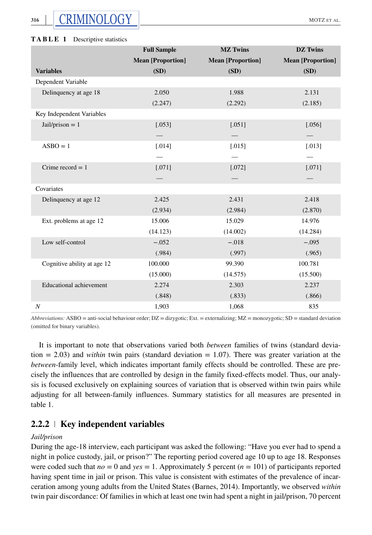#### **TABLE 1** Descriptive statistics

|                                | <b>Full Sample</b>       | <b>MZ</b> Twins          | <b>DZ</b> Twins          |
|--------------------------------|--------------------------|--------------------------|--------------------------|
|                                | <b>Mean [Proportion]</b> | <b>Mean [Proportion]</b> | <b>Mean [Proportion]</b> |
| <b>Variables</b>               | (SD)                     | (SD)                     | (SD)                     |
| Dependent Variable             |                          |                          |                          |
| Delinquency at age 18          | 2.050                    | 1.988                    | 2.131                    |
|                                | (2.247)                  | (2.292)                  | (2.185)                  |
| Key Independent Variables      |                          |                          |                          |
| $Jail/prison = 1$              | [.053]                   | [.051]                   | [.056]                   |
|                                |                          |                          |                          |
| $ASBO = 1$                     | [.014]                   | [.015]                   | $\left[ .013\right]$     |
|                                |                          |                          |                          |
| Crime record $= 1$             | [.071]                   | [.072]                   | [.071]                   |
|                                |                          |                          |                          |
| Covariates                     |                          |                          |                          |
| Delinquency at age 12          | 2.425                    | 2.431                    | 2.418                    |
|                                | (2.934)                  | (2.984)                  | (2.870)                  |
| Ext. problems at age 12        | 15.006                   | 15.029                   | 14.976                   |
|                                | (14.123)                 | (14.002)                 | (14.284)                 |
| Low self-control               | $-.052$                  | $-.018$                  | $-.095$                  |
|                                | (.984)                   | (.997)                   | (.965)                   |
| Cognitive ability at age 12    | 100.000                  | 99.390                   | 100.781                  |
|                                | (15.000)                 | (14.575)                 | (15.500)                 |
| <b>Educational achievement</b> | 2.274                    | 2.303                    | 2.237                    |
|                                | (.848)                   | (.833)                   | (.866)                   |
| $\boldsymbol{N}$               | 1,903                    | 1,068                    | 835                      |

*Abbreviations:* ASBO = anti-social behaviour order; DZ = dizygotic; Ext. = externalizing; MZ = monozygotic; SD = standard deviation (omitted for binary variables).

It is important to note that observations varied both *between* families of twins (standard deviation = 2.03) and *within* twin pairs (standard deviation = 1.07). There was greater variation at the *between*-family level, which indicates important family effects should be controlled. These are precisely the influences that are controlled by design in the family fixed-effects model. Thus, our analysis is focused exclusively on explaining sources of variation that is observed within twin pairs while adjusting for all between-family influences. Summary statistics for all measures are presented in table 1.

## **2.2.2 Key independent variables**

#### *Jail/prison*

During the age-18 interview, each participant was asked the following: "Have you ever had to spend a night in police custody, jail, or prison?" The reporting period covered age 10 up to age 18. Responses were coded such that  $no = 0$  and  $yes = 1$ . Approximately 5 percent  $(n = 101)$  of participants reported having spent time in jail or prison. This value is consistent with estimates of the prevalence of incarceration among young adults from the United States (Barnes, 2014). Importantly, we observed *within* twin pair discordance: Of families in which at least one twin had spent a night in jail/prison, 70 percent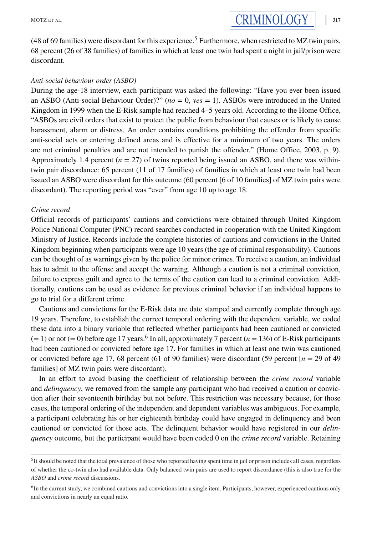(48 of 69 families) were discordant for this experience.<sup>5</sup> Furthermore, when restricted to MZ twin pairs, 68 percent (26 of 38 families) of families in which at least one twin had spent a night in jail/prison were discordant.

#### *Anti-social behaviour order (ASBO)*

During the age-18 interview, each participant was asked the following: "Have you ever been issued an ASBO (Anti-social Behaviour Order)?" (*no* = 0, *yes* = 1). ASBOs were introduced in the United Kingdom in 1999 when the E-Risk sample had reached 4–5 years old. According to the Home Office, "ASBOs are civil orders that exist to protect the public from behaviour that causes or is likely to cause harassment, alarm or distress. An order contains conditions prohibiting the offender from specific anti-social acts or entering defined areas and is effective for a minimum of two years. The orders are not criminal penalties and are not intended to punish the offender." (Home Office, 2003, p. 9). Approximately 1.4 percent  $(n = 27)$  of twins reported being issued an ASBO, and there was withintwin pair discordance: 65 percent (11 of 17 families) of families in which at least one twin had been issued an ASBO were discordant for this outcome (60 percent [6 of 10 families] of MZ twin pairs were discordant). The reporting period was "ever" from age 10 up to age 18.

#### *Crime record*

Official records of participants' cautions and convictions were obtained through United Kingdom Police National Computer (PNC) record searches conducted in cooperation with the United Kingdom Ministry of Justice. Records include the complete histories of cautions and convictions in the United Kingdom beginning when participants were age 10 years (the age of criminal responsibility). Cautions can be thought of as warnings given by the police for minor crimes. To receive a caution, an individual has to admit to the offense and accept the warning. Although a caution is not a criminal conviction, failure to express guilt and agree to the terms of the caution can lead to a criminal conviction. Additionally, cautions can be used as evidence for previous criminal behavior if an individual happens to go to trial for a different crime.

Cautions and convictions for the E-Risk data are date stamped and currently complete through age 19 years. Therefore, to establish the correct temporal ordering with the dependent variable, we coded these data into a binary variable that reflected whether participants had been cautioned or convicted  $(= 1)$  or not  $(= 0)$  before age 17 years.<sup>6</sup> In all, approximately 7 percent  $(n = 136)$  of E-Risk participants had been cautioned or convicted before age 17. For families in which at least one twin was cautioned or convicted before age 17, 68 percent (61 of 90 families) were discordant (59 percent [*n* = 29 of 49 families] of MZ twin pairs were discordant).

In an effort to avoid biasing the coefficient of relationship between the *crime record* variable and *delinquency*, we removed from the sample any participant who had received a caution or conviction after their seventeenth birthday but not before. This restriction was necessary because, for those cases, the temporal ordering of the independent and dependent variables was ambiguous. For example, a participant celebrating his or her eighteenth birthday could have engaged in delinquency and been cautioned or convicted for those acts. The delinquent behavior would have registered in our *delinquency* outcome, but the participant would have been coded 0 on the *crime record* variable. Retaining

<sup>&</sup>lt;sup>5</sup>It should be noted that the total prevalence of those who reported having spent time in jail or prison includes all cases, regardless of whether the co-twin also had available data. Only balanced twin pairs are used to report discordance (this is also true for the *ASBO* and *crime record* discussions.

<sup>&</sup>lt;sup>6</sup>In the current study, we combined cautions and convictions into a single item. Participants, however, experienced cautions only and convictions in nearly an equal ratio.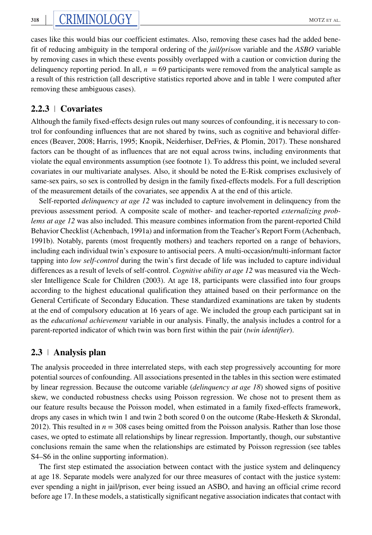cases like this would bias our coefficient estimates. Also, removing these cases had the added benefit of reducing ambiguity in the temporal ordering of the *jail/prison* variable and the *ASBO* variable by removing cases in which these events possibly overlapped with a caution or conviction during the delinquency reporting period. In all,  $n = 69$  participants were removed from the analytical sample as a result of this restriction (all descriptive statistics reported above and in table 1 were computed after removing these ambiguous cases).

### **2.2.3 Covariates**

Although the family fixed-effects design rules out many sources of confounding, it is necessary to control for confounding influences that are not shared by twins, such as cognitive and behavioral differences (Beaver, 2008; Harris, 1995; Knopik, Neiderhiser, DeFries, & Plomin, 2017). These nonshared factors can be thought of as influences that are not equal across twins, including environments that violate the equal environments assumption (see footnote 1). To address this point, we included several covariates in our multivariate analyses. Also, it should be noted the E-Risk comprises exclusively of same-sex pairs, so sex is controlled by design in the family fixed-effects models. For a full description of the measurement details of the covariates, see appendix A at the end of this article.

Self-reported *delinquency at age 12* was included to capture involvement in delinquency from the previous assessment period. A composite scale of mother- and teacher-reported *externalizing problems at age 12* was also included. This measure combines information from the parent-reported Child Behavior Checklist (Achenbach, 1991a) and information from the Teacher's Report Form (Achenbach, 1991b). Notably, parents (most frequently mothers) and teachers reported on a range of behaviors, including each individual twin's exposure to antisocial peers. A multi-occasion/multi-informant factor tapping into *low self-control* during the twin's first decade of life was included to capture individual differences as a result of levels of self-control. *Cognitive ability at age 12* was measured via the Wechsler Intelligence Scale for Children (2003). At age 18, participants were classified into four groups according to the highest educational qualification they attained based on their performance on the General Certificate of Secondary Education. These standardized examinations are taken by students at the end of compulsory education at 16 years of age. We included the group each participant sat in as the *educational achievement* variable in our analysis. Finally, the analysis includes a control for a parent-reported indicator of which twin was born first within the pair (*twin identifier*).

#### **2.3 Analysis plan**

The analysis proceeded in three interrelated steps, with each step progressively accounting for more potential sources of confounding. All associations presented in the tables in this section were estimated by linear regression. Because the outcome variable (*delinquency at age 18*) showed signs of positive skew, we conducted robustness checks using Poisson regression. We chose not to present them as our feature results because the Poisson model, when estimated in a family fixed-effects framework, drops any cases in which twin 1 and twin 2 both scored 0 on the outcome (Rabe-Hesketh & Skrondal, 2012). This resulted in  $n = 308$  cases being omitted from the Poisson analysis. Rather than lose those cases, we opted to estimate all relationships by linear regression. Importantly, though, our substantive conclusions remain the same when the relationships are estimated by Poisson regression (see tables S4–S6 in the online supporting information).

The first step estimated the association between contact with the justice system and delinquency at age 18. Separate models were analyzed for our three measures of contact with the justice system: ever spending a night in jail/prison, ever being issued an ASBO, and having an official crime record before age 17. In these models, a statistically significant negative association indicates that contact with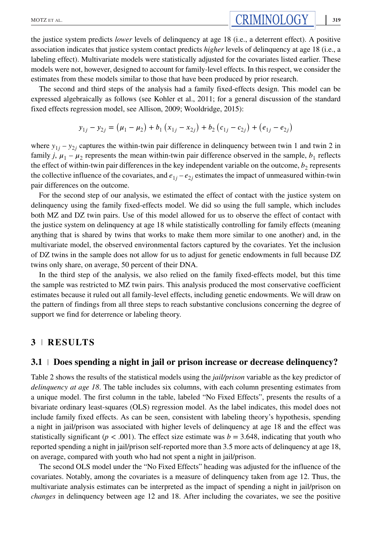## MOTZ ET AL. **319** CRIMINOLOGY 339

the justice system predicts *lower* levels of delinquency at age 18 (i.e., a deterrent effect). A positive association indicates that justice system contact predicts *higher* levels of delinquency at age 18 (i.e., a labeling effect). Multivariate models were statistically adjusted for the covariates listed earlier. These models were not, however, designed to account for family-level effects. In this respect, we consider the estimates from these models similar to those that have been produced by prior research.

The second and third steps of the analysis had a family fixed-effects design. This model can be expressed algebraically as follows (see Kohler et al., 2011; for a general discussion of the standard fixed effects regression model, see Allison, 2009; Wooldridge, 2015):

$$
y_{1j} - y_{2j} = (\mu_1 - \mu_2) + b_1 (x_{1j} - x_{2j}) + b_2 (c_{1j} - c_{2j}) + (e_{1j} - e_{2j})
$$

where  $y_{1j} - y_{2j}$  captures the within-twin pair difference in delinquency between twin 1 and twin 2 in family *j*,  $\mu_1 - \mu_2$  represents the mean within-twin pair difference observed in the sample,  $b_1$  reflects the effect of within-twin pair differences in the key independent variable on the outcome,  $b_2$  represents the collective influence of the covariates, and  $e_{1j} - e_{2j}$  estimates the impact of unmeasured within-twin pair differences on the outcome.

For the second step of our analysis, we estimated the effect of contact with the justice system on delinquency using the family fixed-effects model. We did so using the full sample, which includes both MZ and DZ twin pairs. Use of this model allowed for us to observe the effect of contact with the justice system on delinquency at age 18 while statistically controlling for family effects (meaning anything that is shared by twins that works to make them more similar to one another) and, in the multivariate model, the observed environmental factors captured by the covariates. Yet the inclusion of DZ twins in the sample does not allow for us to adjust for genetic endowments in full because DZ twins only share, on average, 50 percent of their DNA.

In the third step of the analysis, we also relied on the family fixed-effects model, but this time the sample was restricted to MZ twin pairs. This analysis produced the most conservative coefficient estimates because it ruled out all family-level effects, including genetic endowments. We will draw on the pattern of findings from all three steps to reach substantive conclusions concerning the degree of support we find for deterrence or labeling theory.

## **3 RESULTS**

#### **3.1 Does spending a night in jail or prison increase or decrease delinquency?**

Table 2 shows the results of the statistical models using the *jail/prison* variable as the key predictor of *delinquency at age 18*. The table includes six columns, with each column presenting estimates from a unique model. The first column in the table, labeled "No Fixed Effects", presents the results of a bivariate ordinary least-squares (OLS) regression model. As the label indicates, this model does not include family fixed effects. As can be seen, consistent with labeling theory's hypothesis, spending a night in jail/prison was associated with higher levels of delinquency at age 18 and the effect was statistically significant ( $p < .001$ ). The effect size estimate was  $b = 3.648$ , indicating that youth who reported spending a night in jail/prison self-reported more than 3.5 more acts of delinquency at age 18, on average, compared with youth who had not spent a night in jail/prison.

The second OLS model under the "No Fixed Effects" heading was adjusted for the influence of the covariates. Notably, among the covariates is a measure of delinquency taken from age 12. Thus, the multivariate analysis estimates can be interpreted as the impact of spending a night in jail/prison on *changes* in delinquency between age 12 and 18. After including the covariates, we see the positive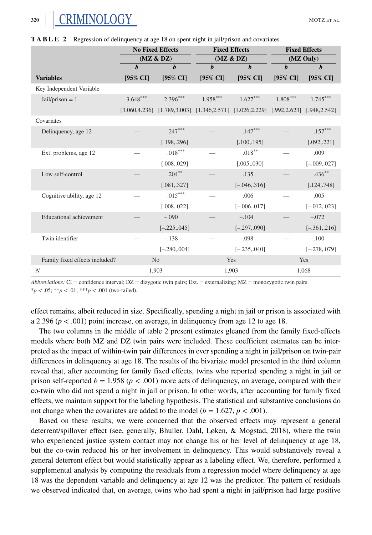|                                | <b>No Fixed Effects</b> |                       |                                                                                                     | <b>Fixed Effects</b> | <b>Fixed Effects</b> |                  |
|--------------------------------|-------------------------|-----------------------|-----------------------------------------------------------------------------------------------------|----------------------|----------------------|------------------|
|                                |                         | (MZ & DZ)             | (MZ & DZ)                                                                                           |                      | (MZ Only)            |                  |
|                                | $\boldsymbol{h}$        | $\boldsymbol{h}$      | $\boldsymbol{h}$                                                                                    | $\boldsymbol{h}$     | $\boldsymbol{h}$     | $\boldsymbol{h}$ |
| <b>Variables</b>               | $[95\% \text{ CI}]$     | $[95\%$ CI]           | $[95\% \text{ CI}]$                                                                                 | $[95\%$ CI]          | $195\%$ CI1          | $195\%$ CI1      |
| Key Independent Variable       |                         |                       |                                                                                                     |                      |                      |                  |
| $Jail/prison = 1$              | $3.648***$              | $2.396***$            | $1.958***$                                                                                          | $1.627***$           | $1.808***$           | $1.745***$       |
|                                |                         |                       | $[3.060, 4.236]$ $[1.789, 3.003]$ $[1.346, 2.571]$ $[1.026, 2.229]$ $[.992, 2.623]$ $[.948, 2.542]$ |                      |                      |                  |
| Covariates                     |                         |                       |                                                                                                     |                      |                      |                  |
| Delinquency, age 12            |                         | $.247***$             |                                                                                                     | $.147***$            |                      | $.157***$        |
|                                |                         | [.198, .296]          |                                                                                                     | [.100, .195]         |                      | [.092, .221]     |
| Ext. problems, age 12          |                         | $.018^{\ast\ast\ast}$ |                                                                                                     | $.018***$            |                      | .009             |
|                                |                         | [.008, .029]          |                                                                                                     | [.005, .030]         |                      | $[-.009, .027]$  |
| Low self-control               |                         | $.204***$             |                                                                                                     | .135                 |                      | $.436***$        |
|                                |                         | [.081, .327]          |                                                                                                     | $[-0.046, 0.316]$    |                      | [.124, .748]     |
| Cognitive ability, age 12      |                         | $.015***$             |                                                                                                     | .006                 |                      | .005             |
|                                |                         | [.008, .022]          |                                                                                                     | $[-.006, .017]$      |                      | $[-.012, .023]$  |
| <b>Educational achievement</b> |                         | $-.090$               |                                                                                                     | $-.104$              |                      | $-.072$          |
|                                |                         | $[-.225, .045]$       |                                                                                                     | $[-.297, .090]$      |                      | $[-.361, .216]$  |
| Twin identifier                |                         | $-.138$               |                                                                                                     | $-.098$              |                      | $-.100$          |
|                                |                         | $[-.280, .004]$       |                                                                                                     | $[-.235, .040]$      |                      | $[-.278, .079]$  |
| Family fixed effects included? |                         | N <sub>o</sub>        |                                                                                                     | Yes                  |                      | Yes              |
| N                              |                         | 1,903                 |                                                                                                     | 1,903                |                      | 1,068            |

|  |  |  |  |  |  |  | <b>TABLE 2</b> Regression of delinquency at age 18 on spent night in jail/prison and covariates |
|--|--|--|--|--|--|--|-------------------------------------------------------------------------------------------------|
|--|--|--|--|--|--|--|-------------------------------------------------------------------------------------------------|

*Abbreviations:* CI = confidence interval; DZ = dizygotic twin pairs; Ext. = externalizing; MZ = monozygotic twin pairs.  $*_{p}$  < .05; \*\**p* < .01; \*\*\**p* < .001 (two-tailed).

effect remains, albeit reduced in size. Specifically, spending a night in jail or prison is associated with a 2.396 ( $p < .001$ ) point increase, on average, in delinguency from age 12 to age 18.

The two columns in the middle of table 2 present estimates gleaned from the family fixed-effects models where both MZ and DZ twin pairs were included. These coefficient estimates can be interpreted as the impact of within-twin pair differences in ever spending a night in jail/prison on twin-pair differences in delinquency at age 18. The results of the bivariate model presented in the third column reveal that, after accounting for family fixed effects, twins who reported spending a night in jail or prison self-reported  $b = 1.958$  ( $p < .001$ ) more acts of delinquency, on average, compared with their co-twin who did not spend a night in jail or prison. In other words, after accounting for family fixed effects, we maintain support for the labeling hypothesis. The statistical and substantive conclusions do not change when the covariates are added to the model ( $b = 1.627$ ,  $p < .001$ ).

Based on these results, we were concerned that the observed effects may represent a general deterrent/spillover effect (see, generally, Bhuller, Dahl, Løken, & Mogstad, 2018), where the twin who experienced justice system contact may not change his or her level of delinquency at age 18, but the co-twin reduced his or her involvement in delinquency. This would substantively reveal a general deterrent effect but would statistically appear as a labeling effect. We, therefore, performed a supplemental analysis by computing the residuals from a regression model where delinquency at age 18 was the dependent variable and delinquency at age 12 was the predictor. The pattern of residuals we observed indicated that, on average, twins who had spent a night in jail/prison had large positive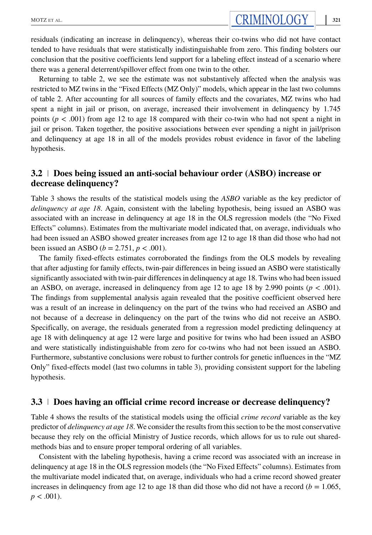Returning to table 2, we see the estimate was not substantively affected when the analysis was restricted to MZ twins in the "Fixed Effects (MZ Only)" models, which appear in the last two columns of table 2. After accounting for all sources of family effects and the covariates, MZ twins who had spent a night in jail or prison, on average, increased their involvement in delinquency by 1.745 points ( $p < .001$ ) from age 12 to age 18 compared with their co-twin who had not spent a night in jail or prison. Taken together, the positive associations between ever spending a night in jail/prison and delinquency at age 18 in all of the models provides robust evidence in favor of the labeling hypothesis.

## **3.2 Does being issued an anti-social behaviour order (ASBO) increase or decrease delinquency?**

Table 3 shows the results of the statistical models using the *ASBO* variable as the key predictor of *delinquency at age 18*. Again, consistent with the labeling hypothesis, being issued an ASBO was associated with an increase in delinquency at age 18 in the OLS regression models (the "No Fixed Effects" columns). Estimates from the multivariate model indicated that, on average, individuals who had been issued an ASBO showed greater increases from age 12 to age 18 than did those who had not been issued an ASBO ( $b = 2.751$ ,  $p < .001$ ).

The family fixed-effects estimates corroborated the findings from the OLS models by revealing that after adjusting for family effects, twin-pair differences in being issued an ASBO were statistically significantly associated with twin-pair differences in delinquency at age 18. Twins who had been issued an ASBO, on average, increased in delinquency from age 12 to age 18 by 2.990 points  $(p < .001)$ . The findings from supplemental analysis again revealed that the positive coefficient observed here was a result of an increase in delinquency on the part of the twins who had received an ASBO and not because of a decrease in delinquency on the part of the twins who did not receive an ASBO. Specifically, on average, the residuals generated from a regression model predicting delinquency at age 18 with delinquency at age 12 were large and positive for twins who had been issued an ASBO and were statistically indistinguishable from zero for co-twins who had not been issued an ASBO. Furthermore, substantive conclusions were robust to further controls for genetic influences in the "MZ Only" fixed-effects model (last two columns in table 3), providing consistent support for the labeling hypothesis.

## **3.3 Does having an official crime record increase or decrease delinquency?**

Table 4 shows the results of the statistical models using the official *crime record* variable as the key predictor of *delinquency at age 18*. We consider the results from this section to be the most conservative because they rely on the official Ministry of Justice records, which allows for us to rule out sharedmethods bias and to ensure proper temporal ordering of all variables.

Consistent with the labeling hypothesis, having a crime record was associated with an increase in delinquency at age 18 in the OLS regression models (the "No Fixed Effects" columns). Estimates from the multivariate model indicated that, on average, individuals who had a crime record showed greater increases in delinquency from age 12 to age 18 than did those who did not have a record ( $b = 1.065$ ,  $p < .001$ ).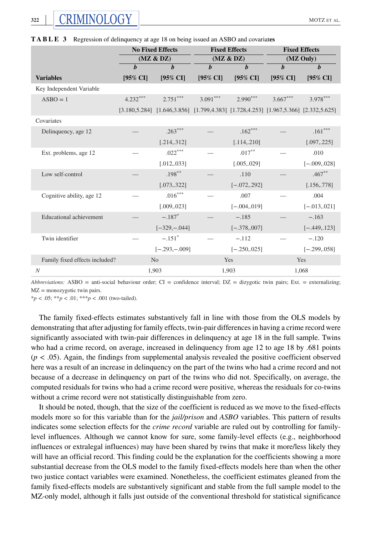|                                | <b>No Fixed Effects</b> |                                                                                                       | <b>Fixed Effects</b> |                 | <b>Fixed Effects</b> |                     |
|--------------------------------|-------------------------|-------------------------------------------------------------------------------------------------------|----------------------|-----------------|----------------------|---------------------|
|                                | (MZ & DZ)               |                                                                                                       | (MZ & DZ)            |                 | (MZ Only)            |                     |
|                                | $\boldsymbol{h}$        | $\boldsymbol{h}$                                                                                      | h                    | $\bm{b}$        | $\boldsymbol{b}$     | $\bm{b}$            |
| <b>Variables</b>               | $195\%$ CI              | [95% CI]                                                                                              | $195\%$ CI           | $[95\%$ CI]     | $[95\%$ CI]          | $[95\% \text{ CI}]$ |
| Key Independent Variable       |                         |                                                                                                       |                      |                 |                      |                     |
| $ASBO = 1$                     | $4.232***$              | $2.751***$                                                                                            | $3.091***$           | $2.990***$      | $3.667***$           | $3.978***$          |
|                                |                         | $[3.180, 5.284]$ $[1.646, 3.856]$ $[1.799, 4.383]$ $[1.728, 4.253]$ $[1.967, 5.366]$ $[2.332, 5.625]$ |                      |                 |                      |                     |
| Covariates                     |                         |                                                                                                       |                      |                 |                      |                     |
| Delinquency, age 12            |                         | $.263***$                                                                                             |                      | $.162***$       |                      | $.161***$           |
|                                |                         | [.214, .312]                                                                                          |                      | [.114, .210]    |                      | [.097, .225]        |
| Ext. problems, age 12          |                         | $.022***$                                                                                             |                      | $.017***$       |                      | .010                |
|                                |                         | [.012, .033]                                                                                          |                      | [.005, .029]    |                      | $[-.009, .028]$     |
| Low self-control               |                         | $.198***$                                                                                             |                      | .110            |                      | $.467**$            |
|                                |                         | [.073, .322]                                                                                          |                      | $[-.072, .292]$ |                      | [.156, .778]        |
| Cognitive ability, age 12      |                         | $.016***$                                                                                             |                      | .007            |                      | .004                |
|                                |                         | [.009, .023]                                                                                          |                      | $[-.004, .019]$ |                      | $[-.013, .021]$     |
| <b>Educational achievement</b> |                         | $-.187*$                                                                                              |                      | $-.185$         |                      | $-.163$             |
|                                |                         | $[-329, -.044]$                                                                                       |                      | $[-.378, .007]$ |                      | $[-.449, .123]$     |
| Twin identifier                |                         | $-.151$ <sup>*</sup>                                                                                  |                      | $-.112$         |                      | $-.120$             |
|                                |                         | $[-.293, -.009]$                                                                                      |                      | $[-.250, .025]$ |                      | $[-.299, .058]$     |
| Family fixed effects included? |                         | N <sub>0</sub>                                                                                        |                      | Yes             | Yes                  |                     |
| Ν                              |                         | 1.903                                                                                                 |                      | 1,903           |                      | 1,068               |

|  |  |  |  | <b>TABLE 3</b> Regression of delinquency at age 18 on being issued an ASBO and covariates |  |  |
|--|--|--|--|-------------------------------------------------------------------------------------------|--|--|
|--|--|--|--|-------------------------------------------------------------------------------------------|--|--|

*Abbreviations:* ASBO = anti-social behaviour order; CI = confidence interval; DZ = dizygotic twin pairs; Ext. = externalizing;  $MZ = monozygotic$  twin pairs.

 $**p* < .05; ***p* < .01; ****p* < .001$  (two-tailed).

The family fixed-effects estimates substantively fall in line with those from the OLS models by demonstrating that after adjusting for family effects, twin-pair differences in having a crime record were significantly associated with twin-pair differences in delinquency at age 18 in the full sample. Twins who had a crime record, on average, increased in delinquency from age 12 to age 18 by .681 points  $(p < .05)$ . Again, the findings from supplemental analysis revealed the positive coefficient observed here was a result of an increase in delinquency on the part of the twins who had a crime record and not because of a decrease in delinquency on part of the twins who did not. Specifically, on average, the computed residuals for twins who had a crime record were positive, whereas the residuals for co-twins without a crime record were not statistically distinguishable from zero.

It should be noted, though, that the size of the coefficient is reduced as we move to the fixed-effects models more so for this variable than for the *jail/prison* and *ASBO* variables. This pattern of results indicates some selection effects for the *crime record* variable are ruled out by controlling for familylevel influences. Although we cannot know for sure, some family-level effects (e.g., neighborhood influences or extralegal influences) may have been shared by twins that make it more/less likely they will have an official record. This finding could be the explanation for the coefficients showing a more substantial decrease from the OLS model to the family fixed-effects models here than when the other two justice contact variables were examined. Nonetheless, the coefficient estimates gleaned from the family fixed-effects models are substantively significant and stable from the full sample model to the MZ-only model, although it falls just outside of the conventional threshold for statistical significance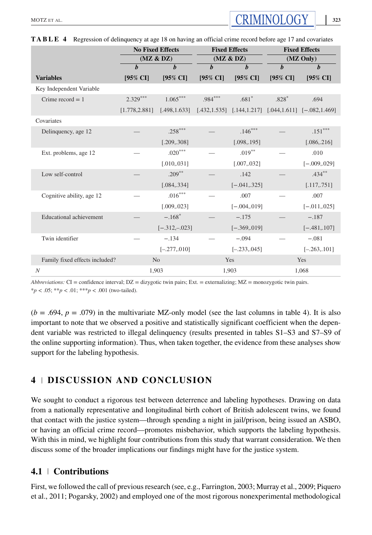|                                | <b>No Fixed Effects</b> |                  |                  | <b>Fixed Effects</b> | <b>Fixed Effects</b> |                                                                      |
|--------------------------------|-------------------------|------------------|------------------|----------------------|----------------------|----------------------------------------------------------------------|
|                                | (MZ & DZ)               |                  | (MZ & DZ)        |                      | (MZ Only)            |                                                                      |
|                                | $\boldsymbol{b}$        | $\boldsymbol{b}$ | $\boldsymbol{b}$ | $\boldsymbol{b}$     | $\boldsymbol{b}$     | $\boldsymbol{b}$                                                     |
| <b>Variables</b>               | $[95\%$ CI]             | [95% CI]         | [95% CI]         | $[95\%$ CI]          | $[95\%$ CI]          | [95% CI]                                                             |
| Key Independent Variable       |                         |                  |                  |                      |                      |                                                                      |
| Crime record $= 1$             | $2.329***$              | $1.065***$       | $.984***$        | $.681*$              | $.828*$              | .694                                                                 |
|                                | [1.778, 2.881]          | [.498, 1.633]    |                  |                      |                      | $[0.432, 1.535]$ $[0.144, 1.217]$ $[0.044, 1.611]$ $[-0.082, 1.469]$ |
| Covariates                     |                         |                  |                  |                      |                      |                                                                      |
| Delinquency, age 12            |                         | $.258***$        |                  | $.146***$            |                      | $.151***$                                                            |
|                                |                         | [.209, .308]     |                  | [.098, .195]         |                      | [.086, .216]                                                         |
| Ext. problems, age 12          |                         | $.020***$        |                  | $.019***$            |                      | .010                                                                 |
|                                |                         | [.010, .031]     |                  | [.007, .032]         |                      | $[-.009, .029]$                                                      |
| Low self-control               |                         | $.209**$         |                  | .142                 |                      | $.434***$                                                            |
|                                |                         | [.084, .334]     |                  | $[-.041, .325]$      |                      | [.117, .751]                                                         |
| Cognitive ability, age 12      |                         | $.016^{***}$     |                  | .007                 |                      | .007                                                                 |
|                                |                         | [.009, .023]     |                  | $[-.004, .019]$      |                      | $[-.011, .025]$                                                      |
| <b>Educational achievement</b> |                         | $-.168*$         |                  | $-.175$              |                      | $-.187$                                                              |
|                                |                         | $[-.312, -.023]$ |                  | $[-.369, .019]$      |                      | $[-.481, .107]$                                                      |
| Twin identifier                |                         | $-.134$          |                  | $-.094$              |                      | $-.081$                                                              |
|                                |                         | $[-.277, .010]$  |                  | $[-.233, .045]$      |                      | $[-.263, .101]$                                                      |
| Family fixed effects included? |                         | N <sub>0</sub>   |                  | Yes                  |                      | Yes                                                                  |
| $\boldsymbol{N}$               |                         | 1,903            |                  | 1,903                |                      | 1,068                                                                |

| <b>TABLE 4</b> Regression of delinquency at age 18 on having an official crime record before age 17 and covariates |
|--------------------------------------------------------------------------------------------------------------------|
|--------------------------------------------------------------------------------------------------------------------|

*Abbreviations:* CI = confidence interval; DZ = dizygotic twin pairs; Ext. = externalizing; MZ = monozygotic twin pairs.  $*_{p}$  < .05; \*\**p* < .01; \*\*\**p* < .001 (two-tailed).

 $(b = .694, p = .079)$  in the multivariate MZ-only model (see the last columns in table 4). It is also important to note that we observed a positive and statistically significant coefficient when the dependent variable was restricted to illegal delinquency (results presented in tables S1–S3 and S7–S9 of the online supporting information). Thus, when taken together, the evidence from these analyses show support for the labeling hypothesis.

## **4 DISCUSSION AND CONCLUSION**

We sought to conduct a rigorous test between deterrence and labeling hypotheses. Drawing on data from a nationally representative and longitudinal birth cohort of British adolescent twins, we found that contact with the justice system—through spending a night in jail/prison, being issued an ASBO, or having an official crime record—promotes misbehavior, which supports the labeling hypothesis. With this in mind, we highlight four contributions from this study that warrant consideration. We then discuss some of the broader implications our findings might have for the justice system.

## **4.1 Contributions**

First, we followed the call of previous research (see, e.g., Farrington, 2003; Murray et al., 2009; Piquero et al., 2011; Pogarsky, 2002) and employed one of the most rigorous nonexperimental methodological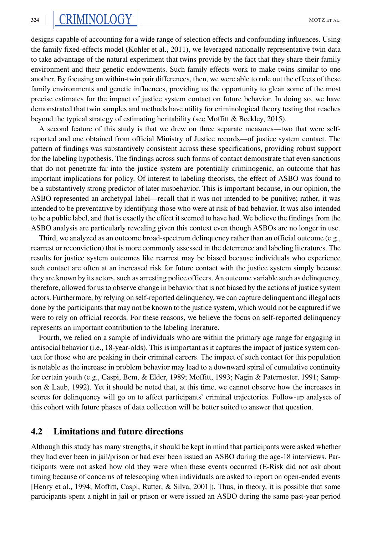designs capable of accounting for a wide range of selection effects and confounding influences. Using the family fixed-effects model (Kohler et al., 2011), we leveraged nationally representative twin data to take advantage of the natural experiment that twins provide by the fact that they share their family environment and their genetic endowments. Such family effects work to make twins similar to one another. By focusing on within-twin pair differences, then, we were able to rule out the effects of these family environments and genetic influences, providing us the opportunity to glean some of the most precise estimates for the impact of justice system contact on future behavior. In doing so, we have demonstrated that twin samples and methods have utility for criminological theory testing that reaches beyond the typical strategy of estimating heritability (see Moffitt & Beckley, 2015).

A second feature of this study is that we drew on three separate measures—two that were selfreported and one obtained from official Ministry of Justice records—of justice system contact. The pattern of findings was substantively consistent across these specifications, providing robust support for the labeling hypothesis. The findings across such forms of contact demonstrate that even sanctions that do not penetrate far into the justice system are potentially criminogenic, an outcome that has important implications for policy. Of interest to labeling theorists, the effect of ASBO was found to be a substantively strong predictor of later misbehavior. This is important because, in our opinion, the ASBO represented an archetypal label—recall that it was not intended to be punitive; rather, it was intended to be preventative by identifying those who were at risk of bad behavior. It was also intended to be a public label, and that is exactly the effect it seemed to have had. We believe the findings from the ASBO analysis are particularly revealing given this context even though ASBOs are no longer in use.

Third, we analyzed as an outcome broad-spectrum delinquency rather than an official outcome (e.g., rearrest or reconviction) that is more commonly assessed in the deterrence and labeling literatures. The results for justice system outcomes like rearrest may be biased because individuals who experience such contact are often at an increased risk for future contact with the justice system simply because they are known by its actors, such as arresting police officers. An outcome variable such as delinquency, therefore, allowed for us to observe change in behavior that is not biased by the actions of justice system actors. Furthermore, by relying on self-reported delinquency, we can capture delinquent and illegal acts done by the participants that may not be known to the justice system, which would not be captured if we were to rely on official records. For these reasons, we believe the focus on self-reported delinquency represents an important contribution to the labeling literature.

Fourth, we relied on a sample of individuals who are within the primary age range for engaging in antisocial behavior (i.e., 18-year-olds). This is important as it captures the impact of justice system contact for those who are peaking in their criminal careers. The impact of such contact for this population is notable as the increase in problem behavior may lead to a downward spiral of cumulative continuity for certain youth (e.g., Caspi, Bem, & Elder, 1989; Moffitt, 1993; Nagin & Paternoster, 1991; Sampson & Laub, 1992). Yet it should be noted that, at this time, we cannot observe how the increases in scores for delinquency will go on to affect participants' criminal trajectories. Follow-up analyses of this cohort with future phases of data collection will be better suited to answer that question.

#### **4.2 Limitations and future directions**

Although this study has many strengths, it should be kept in mind that participants were asked whether they had ever been in jail/prison or had ever been issued an ASBO during the age-18 interviews. Participants were not asked how old they were when these events occurred (E-Risk did not ask about timing because of concerns of telescoping when individuals are asked to report on open-ended events [Henry et al., 1994; Moffitt, Caspi, Rutter, & Silva, 2001]). Thus, in theory, it is possible that some participants spent a night in jail or prison or were issued an ASBO during the same past-year period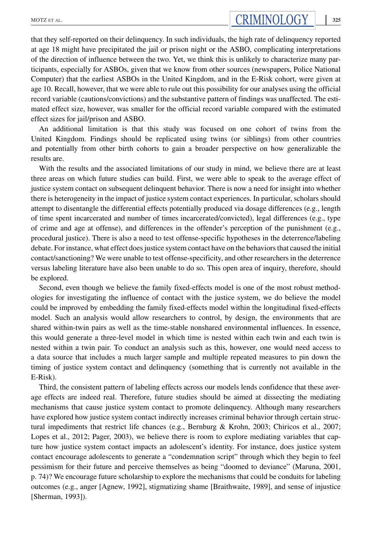## MOTZ ET AL. **325** CRIMINOLOGY 325

that they self-reported on their delinquency. In such individuals, the high rate of delinquency reported at age 18 might have precipitated the jail or prison night or the ASBO, complicating interpretations of the direction of influence between the two. Yet, we think this is unlikely to characterize many participants, especially for ASBOs, given that we know from other sources (newspapers, Police National Computer) that the earliest ASBOs in the United Kingdom, and in the E-Risk cohort, were given at age 10. Recall, however, that we were able to rule out this possibility for our analyses using the official record variable (cautions/convictions) and the substantive pattern of findings was unaffected. The estimated effect size, however, was smaller for the official record variable compared with the estimated effect sizes for jail/prison and ASBO.

An additional limitation is that this study was focused on one cohort of twins from the United Kingdom. Findings should be replicated using twins (or siblings) from other countries and potentially from other birth cohorts to gain a broader perspective on how generalizable the results are.

With the results and the associated limitations of our study in mind, we believe there are at least three areas on which future studies can build. First, we were able to speak to the average effect of justice system contact on subsequent delinquent behavior. There is now a need for insight into whether there is heterogeneity in the impact of justice system contact experiences. In particular, scholars should attempt to disentangle the differential effects potentially produced via dosage differences (e.g., length of time spent incarcerated and number of times incarcerated/convicted), legal differences (e.g., type of crime and age at offense), and differences in the offender's perception of the punishment (e.g., procedural justice). There is also a need to test offense-specific hypotheses in the deterrence/labeling debate. For instance, what effect does justice system contact have on the behaviors that caused the initial contact/sanctioning? We were unable to test offense-specificity, and other researchers in the deterrence versus labeling literature have also been unable to do so. This open area of inquiry, therefore, should be explored.

Second, even though we believe the family fixed-effects model is one of the most robust methodologies for investigating the influence of contact with the justice system, we do believe the model could be improved by embedding the family fixed-effects model within the longitudinal fixed-effects model. Such an analysis would allow researchers to control, by design, the environments that are shared within-twin pairs as well as the time-stable nonshared environmental influences. In essence, this would generate a three-level model in which time is nested within each twin and each twin is nested within a twin pair. To conduct an analysis such as this, however, one would need access to a data source that includes a much larger sample and multiple repeated measures to pin down the timing of justice system contact and delinquency (something that is currently not available in the E-Risk).

Third, the consistent pattern of labeling effects across our models lends confidence that these average effects are indeed real. Therefore, future studies should be aimed at dissecting the mediating mechanisms that cause justice system contact to promote delinquency. Although many researchers have explored how justice system contact indirectly increases criminal behavior through certain structural impediments that restrict life chances (e.g., Bernburg & Krohn, 2003; Chiricos et al., 2007; Lopes et al., 2012; Pager, 2003), we believe there is room to explore mediating variables that capture how justice system contact impacts an adolescent's identity. For instance, does justice system contact encourage adolescents to generate a "condemnation script" through which they begin to feel pessimism for their future and perceive themselves as being "doomed to deviance" (Maruna, 2001, p. 74)? We encourage future scholarship to explore the mechanisms that could be conduits for labeling outcomes (e.g., anger [Agnew, 1992], stigmatizing shame [Braithwaite, 1989], and sense of injustice [Sherman, 1993]).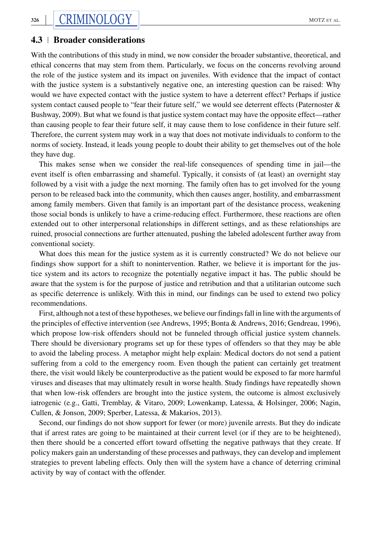## **4.3 Broader considerations**

With the contributions of this study in mind, we now consider the broader substantive, theoretical, and ethical concerns that may stem from them. Particularly, we focus on the concerns revolving around the role of the justice system and its impact on juveniles. With evidence that the impact of contact with the justice system is a substantively negative one, an interesting question can be raised: Why would we have expected contact with the justice system to have a deterrent effect? Perhaps if justice system contact caused people to "fear their future self," we would see deterrent effects (Paternoster & Bushway, 2009). But what we found is that justice system contact may have the opposite effect—rather than causing people to fear their future self, it may cause them to lose confidence in their future self. Therefore, the current system may work in a way that does not motivate individuals to conform to the norms of society. Instead, it leads young people to doubt their ability to get themselves out of the hole they have dug.

This makes sense when we consider the real-life consequences of spending time in jail—the event itself is often embarrassing and shameful. Typically, it consists of (at least) an overnight stay followed by a visit with a judge the next morning. The family often has to get involved for the young person to be released back into the community, which then causes anger, hostility, and embarrassment among family members. Given that family is an important part of the desistance process, weakening those social bonds is unlikely to have a crime-reducing effect. Furthermore, these reactions are often extended out to other interpersonal relationships in different settings, and as these relationships are ruined, prosocial connections are further attenuated, pushing the labeled adolescent further away from conventional society.

What does this mean for the justice system as it is currently constructed? We do not believe our findings show support for a shift to nonintervention. Rather, we believe it is important for the justice system and its actors to recognize the potentially negative impact it has. The public should be aware that the system is for the purpose of justice and retribution and that a utilitarian outcome such as specific deterrence is unlikely. With this in mind, our findings can be used to extend two policy recommendations.

First, although not a test of these hypotheses, we believe our findings fall in line with the arguments of the principles of effective intervention (see Andrews, 1995; Bonta & Andrews, 2016; Gendreau, 1996), which propose low-risk offenders should not be funneled through official justice system channels. There should be diversionary programs set up for these types of offenders so that they may be able to avoid the labeling process. A metaphor might help explain: Medical doctors do not send a patient suffering from a cold to the emergency room. Even though the patient can certainly get treatment there, the visit would likely be counterproductive as the patient would be exposed to far more harmful viruses and diseases that may ultimately result in worse health. Study findings have repeatedly shown that when low-risk offenders are brought into the justice system, the outcome is almost exclusively iatrogenic (e.g., Gatti, Tremblay, & Vitaro, 2009; Lowenkamp, Latessa, & Holsinger, 2006; Nagin, Cullen, & Jonson, 2009; Sperber, Latessa, & Makarios, 2013).

Second, our findings do not show support for fewer (or more) juvenile arrests. But they do indicate that if arrest rates are going to be maintained at their current level (or if they are to be heightened), then there should be a concerted effort toward offsetting the negative pathways that they create. If policy makers gain an understanding of these processes and pathways, they can develop and implement strategies to prevent labeling effects. Only then will the system have a chance of deterring criminal activity by way of contact with the offender.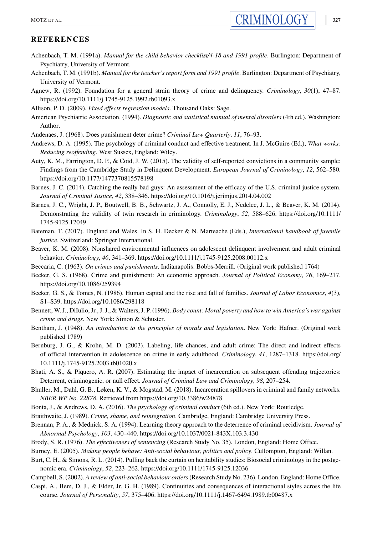#### **REFERENCES**

- Achenbach, T. M. (1991a). *Manual for the child behavior checklist/4-18 and 1991 profile*. Burlington: Department of Psychiatry, University of Vermont.
- Achenbach, T. M. (1991b). *Manual for the teacher's report form and 1991 profile*. Burlington: Department of Psychiatry, University of Vermont.
- Agnew, R. (1992). Foundation for a general strain theory of crime and delinquency. *Criminology*, *30*(1), 47–87. <https://doi.org/10.1111/j.1745-9125.1992.tb01093.x>
- Allison, P. D. (2009). *Fixed effects regression models*. Thousand Oaks: Sage.
- American Psychiatric Association. (1994). *Diagnostic and statistical manual of mental disorders* (4th ed.). Washington: Author.
- Andenaes, J. (1968). Does punishment deter crime? *Criminal Law Quarterly*, *11*, 76–93.
- Andrews, D. A. (1995). The psychology of criminal conduct and effective treatment. In J. McGuire (Ed.), *What works: Reducing reoffending*. West Sussex, England: Wiley.
- Auty, K. M., Farrington, D. P., & Coid, J. W. (2015). The validity of self-reported convictions in a community sample: Findings from the Cambridge Study in Delinquent Development. *European Journal of Criminology*, *12*, 562–580. <https://doi.org/10.1177/1477370815578198>
- Barnes, J. C. (2014). Catching the really bad guys: An assessment of the efficacy of the U.S. criminal justice system. *Journal of Criminal Justice*, *42*, 338–346.<https://doi.org/10.1016/j.jcrimjus.2014.04.002>
- Barnes, J. C., Wright, J. P., Boutwell, B. B., Schwartz, J. A., Connolly, E. J., Nedelec, J. L., & Beaver, K. M. (2014). Demonstrating the validity of twin research in criminology. *Criminology*, *52*, 588–626. [https://doi.org/10.1111/](https://doi.org/10.1111/1745-9125.12049) [1745-9125.12049](https://doi.org/10.1111/1745-9125.12049)
- Bateman, T. (2017). England and Wales. In S. H. Decker & N. Marteache (Eds.), *International handbook of juvenile justice*. Switzerland: Springer International.
- Beaver, K. M. (2008). Nonshared environmental influences on adolescent delinquent involvement and adult criminal behavior. *Criminology*, *46*, 341–369.<https://doi.org/10.1111/j.1745-9125.2008.00112.x>
- Beccaria, C. (1963). *On crimes and punishments*. Indianapolis: Bobbs-Merrill. (Original work published 1764)
- Becker, G. S. (1968). Crime and punishment: An economic approach. *Journal of Political Economy*, *76*, 169–217. <https://doi.org/10.1086/259394>
- Becker, G. S., & Tomes, N. (1986). Human capital and the rise and fall of families. *Journal of Labor Economics*, *4*(3), S1–S39.<https://doi.org/10.1086/298118>
- Bennett, W. J., DiIulio, Jr., J. J., & Walters, J. P. (1996). *Body count: Moral poverty and how to win America's war against crime and drugs*. New York: Simon & Schuster.
- Bentham, J. (1948). *An introduction to the principles of morals and legislation*. New York: Hafner. (Original work published 1789)
- Bernburg, J. G., & Krohn, M. D. (2003). Labeling, life chances, and adult crime: The direct and indirect effects of official intervention in adolescence on crime in early adulthood. *Criminology*, *41*, 1287–1318. [https://doi.org/](https://doi.org/10.1111/j.1745-9125.2003.tb01020.x) [10.1111/j.1745-9125.2003.tb01020.x](https://doi.org/10.1111/j.1745-9125.2003.tb01020.x)
- Bhati, A. S., & Piquero, A. R. (2007). Estimating the impact of incarceration on subsequent offending trajectories: Deterrent, criminogenic, or null effect. *Journal of Criminal Law and Criminology*, *98*, 207–254.
- Bhuller, M., Dahl, G. B., Løken, K. V., & Mogstad, M. (2018). Incarceration spillovers in criminal and family networks. *NBER WP No. 22878*. Retrieved from<https://doi.org/10.3386/w24878>
- Bonta, J., & Andrews, D. A. (2016). *The psychology of criminal conduct* (6th ed.). New York: Routledge.
- Braithwaite, J. (1989). *Crime, shame, and reintegration*. Cambridge, England: Cambridge University Press.
- Brennan, P. A., & Mednick, S. A. (1994). Learning theory approach to the deterrence of criminal recidivism. *Journal of Abnormal Psychology*, *103*, 430–440.<https://doi.org/10.1037/0021-843X.103.3.430>
- Brody, S. R. (1976). *The effectiveness of sentencing* (Research Study No. 35). London, England: Home Office.
- Burney, E. (2005). *Making people behave: Anti-social behaviour, politics and policy*. Cullompton, England: Willan.
- Burt, C. H., & Simons, R. L. (2014). Pulling back the curtain on heritability studies: Biosocial criminology in the postgenomic era. *Criminology*, *52*, 223–262.<https://doi.org/10.1111/1745-9125.12036>
- Campbell, S. (2002). *A review of anti-social behaviour orders*(Research Study No. 236). London, England: Home Office.
- Caspi, A., Bem, D. J., & Elder, Jr, G. H. (1989). Continuities and consequences of interactional styles across the life course. *Journal of Personality*, *57*, 375–406.<https://doi.org/10.1111/j.1467-6494.1989.tb00487.x>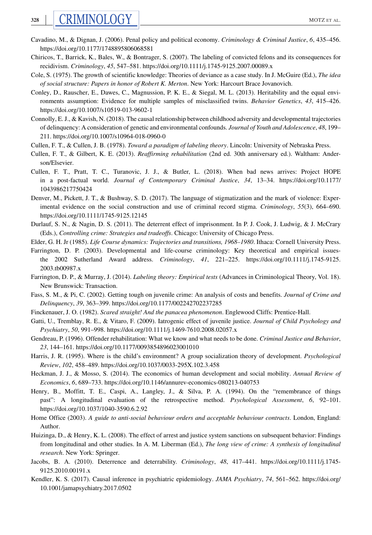- Cavadino, M., & Dignan, J. (2006). Penal policy and political economy. *Criminology & Criminal Justice*, *6*, 435–456. <https://doi.org/10.1177/1748895806068581>
- Chiricos, T., Barrick, K., Bales, W., & Bontrager, S. (2007). The labeling of convicted felons and its consequences for recidivism. *Criminology*, *45*, 547–581.<https://doi.org/10.1111/j.1745-9125.2007.00089.x>
- Cole, S. (1975). The growth of scientific knowledge: Theories of deviance as a case study. In J. McGuire (Ed.), *The idea of social structure: Papers in honor of Robert K. Merton*. New York: Harcourt Brace Jovanovich.
- Conley, D., Rauscher, E., Dawes, C., Magnussion, P. K. E., & Siegal, M. L. (2013). Heritability and the equal environments assumption: Evidence for multiple samples of misclassified twins. *Behavior Genetics*, *43*, 415–426. <https://doi.org/10.1007/s10519-013-9602-1>
- Connolly, E. J., & Kavish, N. (2018). The causal relationship between childhood adversity and developmental trajectories of delinquency: A consideration of genetic and environmental confounds. *Journal of Youth and Adolescence*, *48*, 199– 211.<https://doi.org/10.1007/s10964-018-0960-0>
- Cullen, F. T., & Cullen, J. B. (1978). *Toward a paradigm of labeling theory*. Lincoln: University of Nebraska Press.
- Cullen, F. T., & Gilbert, K. E. (2013). *Reaffirming rehabilitation* (2nd ed. 30th anniversary ed.). Waltham: Anderson/Elsevier.
- Cullen, F. T., Pratt, T. C., Turanovic, J. J., & Butler, L. (2018). When bad news arrives: Project HOPE in a post-factual world. *Journal of Contemporary Criminal Justice*, *34*, 13–34. [https://doi.org/10.1177/](https://doi.org/10.1177/1043986217750424) [1043986217750424](https://doi.org/10.1177/1043986217750424)
- Denver, M., Pickett, J. T., & Bushway, S. D. (2017). The language of stigmatization and the mark of violence: Experimental evidence on the social construction and use of criminal record stigma. *Criminology*, *55*(3), 664–690. <https://doi.org/10.1111/1745-9125.12145>
- Durlauf, S. N., & Nagin, D. S. (2011). The deterrent effect of imprisonment. In P. J. Cook, J. Ludwig, & J. McCrary (Eds.), *Controlling crime: Strategies and tradeoffs*. Chicago: University of Chicago Press.
- Elder, G. H. Jr (1985). *Life Course dynamics: Trajectories and transitions, 1968–1980*. Ithaca: Cornell University Press.
- Farrington, D. P. (2003). Developmental and life-course criminology: Key theoretical and empirical issuesthe 2002 Sutherland Award address. *Criminology*, *41*, 221–225. [https://doi.org/10.1111/j.1745-9125.](https://doi.org/10.1111/j.1745-9125.2003.tb00987.x) [2003.tb00987.x](https://doi.org/10.1111/j.1745-9125.2003.tb00987.x)
- Farrington, D. P., & Murray, J. (2014). *Labeling theory: Empirical tests* (Advances in Criminological Theory, Vol. 18). New Brunswick: Transaction.
- Fass, S. M., & Pi, C. (2002). Getting tough on juvenile crime: An analysis of costs and benefits. *Journal of Crime and Delinquency*, *39*, 363–399.<https://doi.org/10.1177/002242702237285>
- Finckenauer, J. O. (1982). *Scared straight! And the panacea phenomenon*. Englewood Cliffs: Prentice-Hall.
- Gatti, U., Tremblay, R. E., & Vitaro, F. (2009). Iatrogenic effect of juvenile justice. *Journal of Child Psychology and Psychiatry*, *50*, 991–998.<https://doi.org/10.1111/j.1469-7610.2008.02057.x>
- Gendreau, P. (1996). Offender rehabilitation: What we know and what needs to be done. *Criminal Justice and Behavior*, *23*, 144–161.<https://doi.org/10.1177/0093854896023001010>
- Harris, J. R. (1995). Where is the child's environment? A group socialization theory of development. *Psychological Review*, *102*, 458–489.<https://doi.org/10.1037/0033-295X.102.3.458>
- Heckman, J. J., & Mosso, S. (2014). The economics of human development and social mobility. *Annual Review of Economics*, *6*, 689–733.<https://doi.org/10.1146/annurev-economics-080213-040753>
- Henry, B., Moffitt, T. E., Caspi, A., Langley, J., & Silva, P. A. (1994). On the "remembrance of things past": A longitudinal evaluation of the retrospective method. *Psychological Assessment*, *6*, 92–101. <https://doi.org/10.1037/1040-3590.6.2.92>
- Home Office (2003). *A guide to anti-social behaviour orders and acceptable behaviour contracts*. London, England: Author.
- Huizinga, D., & Henry, K. L. (2008). The effect of arrest and justice system sanctions on subsequent behavior: Findings from longitudinal and other studies. In A. M. Liberman (Ed.), *The long view of crime: A synthesis of longitudinal research*. New York: Springer.
- Jacobs, B. A. (2010). Deterrence and deterrability. *Criminology*, *48*, 417–441. [https://doi.org/10.1111/j.1745-](https://doi.org/10.1111/j.1745-9125.2010.00191.x) [9125.2010.00191.x](https://doi.org/10.1111/j.1745-9125.2010.00191.x)
- Kendler, K. S. (2017). Causal inference in psychiatric epidemiology. *JAMA Psychiatry*, *74*, 561–562. [https://doi.org/](https://doi.org/10.1001/jamapsychiatry.2017.0502) [10.1001/jamapsychiatry.2017.0502](https://doi.org/10.1001/jamapsychiatry.2017.0502)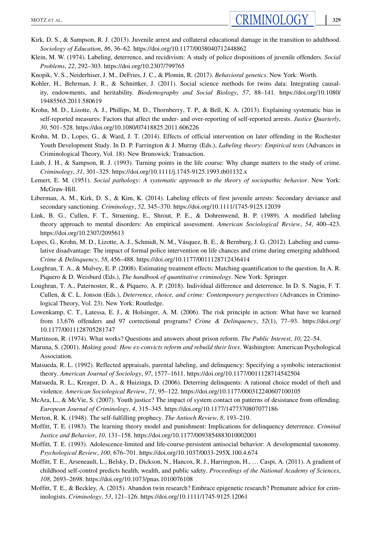- Kirk, D. S., & Sampson, R. J. (2013). Juvenile arrest and collateral educational damage in the transition to adulthood. *Sociology of Education*, *86*, 36–62.<https://doi.org/10.1177/0038040712448862>
- Klein, M. W. (1974). Labeling, deterrence, and recidivism: A study of police dispositions of juvenile offenders. *Social Problems*, *22*, 292–303.<https://doi.org/10.2307/799765>
- Knopik, V. S., Neiderhiser, J. M., DeFries, J. C., & Plomin, R. (2017). *Behavioral genetics*. New York: Worth.
- Kohler, H., Behrman, J. R., & Schnittker, J. (2011). Social science methods for twins data: Integrating causality, endowments, and heritability. *Biodemography and Social Biology*, *57*, 88–141. [https://doi.org/10.1080/](https://doi.org/10.1080/19485565.2011.580619) [19485565.2011.580619](https://doi.org/10.1080/19485565.2011.580619)
- Krohn, M. D., Lizotte, A. J., Phillips, M. D., Thornberry, T. P., & Bell, K. A. (2013). Explaining systematic bias in self-reported measures: Factors that affect the under- and over-reporting of self-reported arrests. *Justice Quarterly*, *30*, 501–528.<https://doi.org/10.1080/07418825.2011.606226>
- Krohn, M. D., Lopes, G., & Ward, J. T. (2014). Effects of official intervention on later offending in the Rochester Youth Development Study. In D. P. Farrington & J. Murray (Eds.), *Labeling theory: Empirical tests* (Advances in Criminological Theory, Vol. 18). New Brunswick: Transaction.
- Laub, J. H., & Sampson, R. J. (1993). Turning points in the life course: Why change matters to the study of crime. *Criminology*, *31*, 301–325.<https://doi.org/10.1111/j.1745-9125.1993.tb01132.x>
- Lemert, E. M. (1951). *Social pathology: A systematic approach to the theory of sociopathic behavior*. New York: McGraw-Hill.
- Liberman, A. M., Kirk, D. S., & Kim, K. (2014). Labeling effects of first juvenile arrests: Secondary deviance and secondary sanctioning. *Criminology*, *52*, 345–370.<https://doi.org/10.1111/1745-9125.12039>
- Link, B. G., Cullen, F. T., Struening, E., Shrout, P. E., & Dohrenwend, B. P. (1989). A modified labeling theory approach to mental disorders: An empirical assessment. *American Sociological Review*, *54*, 400–423. <https://doi.org/10.2307/2095613>
- Lopes, G., Krohn, M. D., Lizotte, A. J., Schmidt, N. M., Vásquez, B. E., & Bernburg, J. G. (2012). Labeling and cumulative disadvantage: The impact of formal police intervention on life chances and crime during emerging adulthood. *Crime & Delinquency*, *58*, 456–488.<https://doi.org/10.1177/0011128712436414>
- Loughran, T. A., & Mulvey, E. P. (2008). Estimating treatment effects: Matching quantification to the question. In A. R. Piquero & D. Weisburd (Eds.), *The handbook of quantitative criminology*. New York: Springer.
- Loughran, T. A., Paternoster, R., & Piquero, A. P. (2018). Individual difference and deterrence. In D. S. Nagin, F. T. Cullen, & C. L. Jonson (Eds.), *Deterrence, choice, and crime: Contemporary perspectives* (Advances in Criminological Theory, Vol. 23). New York: Routledge.
- Lowenkamp, C. T., Latessa, E. J., & Holsinger, A. M. (2006). The risk principle in action: What have we learned from 13,676 offenders and 97 correctional programs? *Crime & Delinquency*, *52*(1), 77–93. [https://doi.org/](https://doi.org/10.1177/0011128705281747) [10.1177/0011128705281747](https://doi.org/10.1177/0011128705281747)
- Martinson, R. (1974). What works? Questions and answers about prison reform. *The Public Interest*, *10*, 22–54.
- Maruna, S. (2001). *Making good: How ex-convicts reform and rebuild their lives*. Washington: American Psychological Association.
- Matsueda, R. L. (1992). Reflected appraisals, parental labeling, and delinquency: Specifying a symbolic interactionist theory. *American Journal of Sociology*, *97*, 1577–1611.<https://doi.org/10.1177/0011128714542504>
- Matsueda, R. L., Kreager, D. A., & Huizinga, D. (2006). Deterring delinquents: A rational choice model of theft and violence. *American Sociological Review*, *71*, 95–122.<https://doi.org/10.1177/000312240607100105>
- McAra, L., & McVie, S. (2007). Youth justice? The impact of system contact on patterns of desistance from offending. *European Journal of Criminology*, *4*, 315–345.<https://doi.org/10.1177/1477370807077186>
- Merton, R. K. (1948). The self-fulfilling prophecy. *The Antioch Review*, *8*, 193–210.
- Moffitt, T. E. (1983). The learning theory model and punishment: Implications for delinquency deterrence. *Criminal Justice and Behavior*, *10*, 131–158.<https://doi.org/10.1177/0093854883010002001>
- Moffitt, T. E. (1993). Adolescence-limited and life-course-persistent antisocial behavior: A developmental taxonomy. *Psychological Review*, *100*, 676–701.<https://doi.org/10.1037/0033-295X.100.4.674>
- Moffitt, T. E., Arseneault, L., Belsky, D., Dickson, N., Hancox, R. J., Harrington, H., … Caspi, A. (2011). A gradient of childhood self-control predicts health, wealth, and public safety. *Proceedings of the National Academy of Sciences*, *108*, 2693–2698.<https://doi.org/10.1073/pnas.1010076108>
- Moffitt, T. E., & Beckley, A. (2015). Abandon twin research? Embrace epigenetic research? Premature advice for criminologists. *Criminology*, *53*, 121–126.<https://doi.org/10.1111/1745-9125.12061>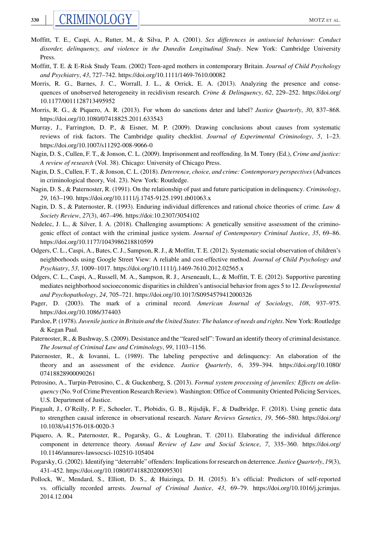**330** MOTZ ET AL.

- Moffitt, T. E., Caspi, A., Rutter, M., & Silva, P. A. (2001). *Sex differences in antisocial behaviour: Conduct disorder, delinquency, and violence in the Dunedin Longitudinal Study*. New York: Cambridge University Press.
- Moffitt, T. E. & E-Risk Study Team. (2002) Teen-aged mothers in contemporary Britain. *Journal of Child Psychology and Psychiatry*, *43*, 727–742.<https://doi.org/10.1111/1469-7610.00082>
- Morris, R. G., Barnes, J. C., Worrall, J. L., & Orrick, E. A. (2013). Analyzing the presence and consequences of unobserved heterogeneity in recidivism research. *Crime & Delinquency*, *62*, 229–252. [https://doi.org/](https://doi.org/10.1177/0011128713495952) [10.1177/0011128713495952](https://doi.org/10.1177/0011128713495952)
- Morris, R. G., & Piquero, A. R. (2013). For whom do sanctions deter and label? *Justice Quarterly*, *30*, 837–868. <https://doi.org/10.1080/07418825.2011.633543>
- Murray, J., Farrington, D. P., & Eisner, M. P. (2009). Drawing conclusions about causes from systematic reviews of risk factors. The Cambridge quality checklist. *Journal of Experimental Criminology*, *5*, 1–23. <https://doi.org/10.1007/s11292-008-9066-0>
- Nagin, D. S., Cullen, F. T., & Jonson, C. L. (2009). Imprisonment and reoffending. In M. Tonry (Ed.), *Crime and justice: A review of research* (Vol. 38). Chicago: University of Chicago Press.
- Nagin, D. S., Cullen, F. T., & Jonson, C. L. (2018). *Deterrence, choice, and crime: Contemporary perspectives*(Advances in criminological theory, Vol. 23). New York: Routledge.
- Nagin, D. S., & Paternoster, R. (1991). On the relationship of past and future participation in delinquency. *Criminology*, *29*, 163–190.<https://doi.org/10.1111/j.1745-9125.1991.tb01063.x>
- Nagin, D. S., & Paternoster, R. (1993). Enduring individual differences and rational choice theories of crime. *Law & Society Review*, *27*(3), 467–496.<https://doi:10.2307/3054102>
- Nedelec, J. L., & Silver, I. A. (2018). Challenging assumptions: A genetically sensitive assessment of the criminogenic effect of contact with the criminal justice system. *Journal of Contemporary Criminal Justice*, *35*, 69–86. <https://doi.org/10.1177/1043986218810599>
- Odgers, C. L., Caspi, A., Bates, C. J., Sampson, R. J., & Moffitt, T. E. (2012). Systematic social observation of children's neighborhoods using Google Street View: A reliable and cost-effective method. *Journal of Child Psychology and Psychiatry*, *53*, 1009–1017.<https://doi.org/10.1111/j.1469-7610.2012.02565.x>
- Odgers, C. L., Caspi, A., Russell, M. A., Sampson, R. J., Arseneault, L., & Moffitt, T. E. (2012). Supportive parenting mediates neighborhood socioeconomic disparities in children's antisocial behavior from ages 5 to 12. *Developmental and Psychopathology*, *24*, 705–721.<https://doi.org/10.1017/S0954579412000326>
- Pager, D. (2003). The mark of a criminal record. *American Journal of Sociology*, *108*, 937–975. <https://doi.org/10.1086/374403>
- Parsloe, P. (1978). *Juvenile justice in Britain and the United States: The balance of needs and rights*. New York: Routledge & Kegan Paul.
- Paternoster, R., & Bushway, S. (2009). Desistance and the "feared self": Toward an identify theory of criminal desistance. *The Journal of Criminal Law and Criminology*, *99*, 1103–1156.
- Paternoster, R., & Iovanni, L. (1989). The labeling perspective and delinquency: An elaboration of the theory and an assessment of the evidence. *Justice Quarterly*, *6*, 359–394. [https://doi.org/10.1080/](https://doi.org/10.1080/07418828900090261) [07418828900090261](https://doi.org/10.1080/07418828900090261)
- Petrosino, A., Turpin-Petrosino, C., & Guckenberg, S. (2013). *Formal system processing of juveniles: Effects on delinquency* (No. 9 of Crime Prevention Research Review). Washington: Office of Community Oriented Policing Services, U.S. Department of Justice.
- Pingault, J., O'Reilly, P. F., Schoeler, T., Plobidis, G. B., Rijsdijk, F., & Dudbridge, F. (2018). Using genetic data to strengthen causal inference in observational research. *Nature Reviews Genetics*, *19*, 566–580. [https://doi.org/](https://doi.org/10.1038/s41576-018-0020-3) [10.1038/s41576-018-0020-3](https://doi.org/10.1038/s41576-018-0020-3)
- Piquero, A. R., Paternoster, R., Pogarsky, G., & Loughran, T. (2011). Elaborating the individual difference component in deterrence theory. *Annual Review of Law and Social Science*, *7*, 335–360. [https://doi.org/](https://doi.org/10.1146/annurev-lawsocsci-102510-105404) [10.1146/annurev-lawsocsci-102510-105404](https://doi.org/10.1146/annurev-lawsocsci-102510-105404)
- Pogarsky, G. (2002). Identifying "deterrable" offenders: Implications for research on deterrence. *Justice Quarterly*, *19*(3), 431–452.<https://doi.org/10.1080/07418820200095301>
- Pollock, W., Mendard, S., Elliott, D. S., & Huizinga, D. H. (2015). It's official: Predictors of self-reported vs. officially recorded arrests. *Journal of Criminal Justice*, *43*, 69–79. [https://doi.org/10.1016/j.jcrimjus.](https://doi.org/10.1016/j.jcrimjus.2014.12.004) [2014.12.004](https://doi.org/10.1016/j.jcrimjus.2014.12.004)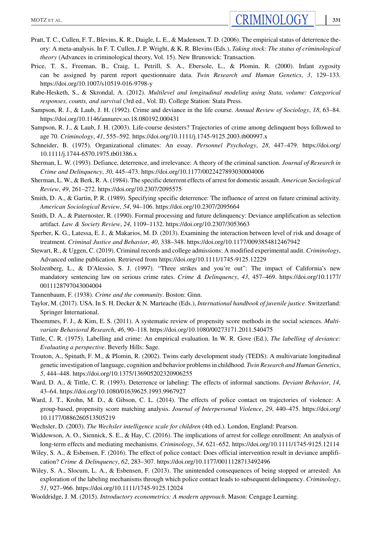- Pratt, T. C., Cullen, F. T., Blevins, K. R., Daigle, L. E., & Madensen, T. D. (2006). The empirical status of deterrence theory: A meta-analysis. In F. T. Cullen, J. P. Wright, & K. R. Blevins (Eds.), *Taking stock: The status of criminological theory* (Advances in criminological theory, Vol. 15). New Brunswick: Transaction.
- Price, T. S., Freeman, B., Craig, I., Petrill, S. A., Ebersole, L., & Plomin, R. (2000). Infant zygosity can be assigned by parent report questionnaire data. *Twin Research and Human Genetics*, *3*, 129–133. <https://doi.org/10.1007/s10519-016-9798-y>
- Rabe-Hesketh, S., & Skrondal, A. (2012). *Multilevel and longitudinal modeling using Stata, volume: Categorical responses, counts, and survival* (3rd ed., Vol. II). College Station: Stata Press.
- Sampson, R. J., & Laub, J. H. (1992). Crime and deviance in the life course. *Annual Review of Sociology*, *18*, 63–84. <https://doi.org/10.1146/annurev.so.18.080192.000431>
- Sampson, R. J., & Laub, J. H. (2003). Life-course desisters? Trajectories of crime among delinquent boys followed to age 70. *Criminology*, *41*, 555–592.<https://doi.org/10.1111/j.1745-9125.2003.tb00997.x>
- Schneider, B. (1975). Organizational climates: An essay. *Personnel Psychology*, *28*, 447–479. [https://doi.org/](https://doi.org/10.1111/j.1744-6570.1975.tb01386.x) [10.1111/j.1744-6570.1975.tb01386.x](https://doi.org/10.1111/j.1744-6570.1975.tb01386.x)
- Sherman, L. W. (1993). Defiance, deterrence, and irrelevance: A theory of the criminal sanction. *Journal of Research in Crime and Delinquency*, *30*, 445–473.<https://doi.org/10.1177/0022427893030004006>
- Sherman, L. W., & Berk, R. A. (1984). The specific deterrent effects of arrest for domestic assault. *American Sociological Review*, *49*, 261–272.<https://doi.org/10.2307/2095575>
- Smith, D. A., & Gartin, P. R. (1989). Specifying specific deterrence: The influence of arrest on future criminal activity. *American Sociological Review*, *54*, 94–106.<https://doi.org/10.2307/2095664>
- Smith, D. A., & Paternoster, R. (1990). Formal processing and future delinquency: Deviance amplification as selection artifact. *Law & Society Review*, *24*, 1109–1132.<https://doi.org/10.2307/3053663>
- Sperber, K. G., Latessa, E. J., & Makarios, M. D. (2013). Examining the interaction between level of risk and dosage of treatment. *Criminal Justice and Behavior*, *40*, 338–348.<https://doi.org/10.1177/0093854812467942>
- Stewart, R., & Uggen, C. (2019). Criminal records and college admissions: A modified experimental audit. *Criminology*, Advanced online publication. Retrieved from<https://doi.org/10.1111/1745-9125.12229>
- Stolzenberg, L., & D'Alessio, S. J. (1997). "Three strikes and you're out": The impact of California's new mandatory sentencing law on serious crime rates. *Crime & Delinquency*, *43*, 457–469. [https://doi.org/10.1177/](https://doi.org/10.1177/0011128797043004004) [0011128797043004004](https://doi.org/10.1177/0011128797043004004)
- Tannenbaum, F. (1938). *Crime and the community*. Boston: Ginn.
- Taylor, M. (2017). USA. In S. H. Decker & N. Marteache (Eds.), *International handbook of juvenile justice*. Switzerland: Springer International.
- Thoemmes, F. J., & Kim, E. S. (2011). A systematic review of propensity score methods in the social sciences. *Multivariate Behavioral Research*, *46*, 90–118.<https://doi.org/10.1080/00273171.2011.540475>
- Tittle, C. R. (1975). Labelling and crime: An empirical evaluation. In W. R. Gove (Ed.), *The labelling of deviance: Evaluating a perspective*. Beverly Hills: Sage.
- Trouton, A., Spinath, F. M., & Plomin, R. (2002). Twins early development study (TEDS): A multivariate longitudinal genetic investigation of language, cognition and behavior problems in childhood. *Twin Research and Human Genetics*, *5*, 444–448.<https://doi.org/10.1375/136905202320906255>
- Ward, D. A., & Tittle, C. R. (1993). Deterrence or labeling: The effects of informal sanctions. *Deviant Behavior*, *14*, 43–64.<https://doi.org/10.1080/01639625.1993.9967927>
- Ward, J. T., Krohn, M. D., & Gibson, C. L. (2014). The effects of police contact on trajectories of violence: A group-based, propensity score matching analysis. *Journal of Interpersonal Violence*, *29*, 440–475. [https://doi.org/](https://doi.org/10.1177/0886260513505219) [10.1177/0886260513505219](https://doi.org/10.1177/0886260513505219)
- Wechsler, D. (2003). *The Wechsler intelligence scale for children* (4th ed.). London, England: Pearson.
- Widdowson, A. O., Siennick, S. E., & Hay, C. (2016). The implications of arrest for college enrollment: An analysis of long-term effects and mediating mechanisms. *Criminology*, *54*, 621–652.<https://doi.org/10.1111/1745-9125.12114>
- Wiley, S. A., & Esbensen, F. (2016). The effect of police contact: Does official intervention result in deviance amplification? *Crime & Delinquency*, *62*, 283–307.<https://doi.org/10.1177/0011128713492496>
- Wiley, S. A., Slocum, L. A., & Esbensen, F. (2013). The unintended consequences of being stopped or arrested: An exploration of the labeling mechanisms through which police contact leads to subsequent delinquency. *Criminology*, *51*, 927–966.<https://doi.org/10.1111/1745-9125.12024>
- Wooldridge, J. M. (2015). *Introductory econometrics: A modern approach*. Mason: Cengage Learning.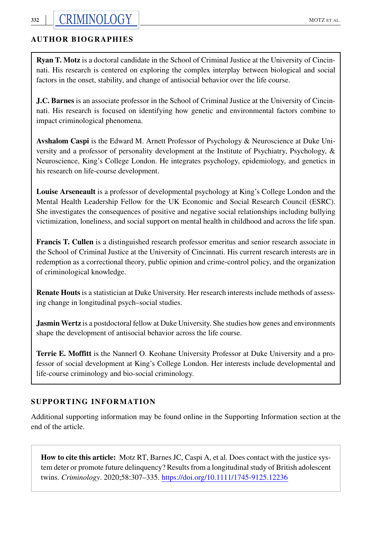## **AUTHOR BIOGRAPHIES**

**Ryan T. Motz** is a doctoral candidate in the School of Criminal Justice at the University of Cincinnati. His research is centered on exploring the complex interplay between biological and social factors in the onset, stability, and change of antisocial behavior over the life course.

**J.C. Barnes** is an associate professor in the School of Criminal Justice at the University of Cincinnati. His research is focused on identifying how genetic and environmental factors combine to impact criminological phenomena.

**Avshalom Caspi** is the Edward M. Arnett Professor of Psychology & Neuroscience at Duke University and a professor of personality development at the Institute of Psychiatry, Psychology, & Neuroscience, King's College London. He integrates psychology, epidemiology, and genetics in his research on life-course development.

**Louise Arseneault** is a professor of developmental psychology at King's College London and the Mental Health Leadership Fellow for the UK Economic and Social Research Council (ESRC). She investigates the consequences of positive and negative social relationships including bullying victimization, loneliness, and social support on mental health in childhood and across the life span.

**Francis T. Cullen** is a distinguished research professor emeritus and senior research associate in the School of Criminal Justice at the University of Cincinnati. His current research interests are in redemption as a correctional theory, public opinion and crime-control policy, and the organization of criminological knowledge.

**Renate Houts** is a statistician at Duke University. Her research interests include methods of assessing change in longitudinal psych–social studies.

**Jasmin Wertz** is a postdoctoral fellow at Duke University. She studies how genes and environments shape the development of antisocial behavior across the life course.

**Terrie E. Moffitt** is the Nannerl O. Keohane University Professor at Duke University and a professor of social development at King's College London. Her interests include developmental and life-course criminology and bio-social criminology.

## **SUPPORTING INFORMATION**

Additional supporting information may be found online in the Supporting Information section at the end of the article.

**How to cite this article:** Motz RT, Barnes JC, Caspi A, et al. Does contact with the justice system deter or promote future delinquency? Results from a longitudinal study of British adolescent twins. *Criminology*. 2020;58:307–335. <https://doi.org/10.1111/1745-9125.12236>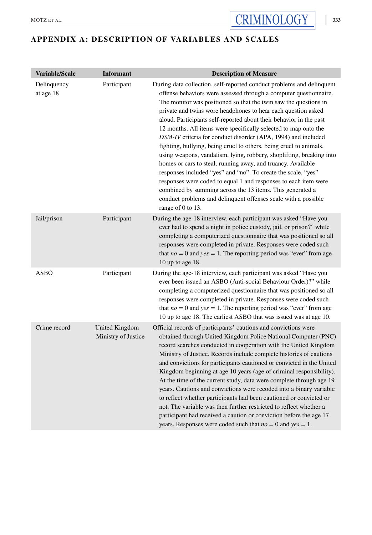## **APPENDIX A: DESCRIPTION OF VARIABLES AND SCALES**

| Variable/Scale           | <b>Informant</b>                      | <b>Description of Measure</b>                                                                                                                                                                                                                                                                                                                                                                                                                                                                                                                                                                                                                                                                                                                                                                                                                                                                                                                                                                   |
|--------------------------|---------------------------------------|-------------------------------------------------------------------------------------------------------------------------------------------------------------------------------------------------------------------------------------------------------------------------------------------------------------------------------------------------------------------------------------------------------------------------------------------------------------------------------------------------------------------------------------------------------------------------------------------------------------------------------------------------------------------------------------------------------------------------------------------------------------------------------------------------------------------------------------------------------------------------------------------------------------------------------------------------------------------------------------------------|
| Delinquency<br>at age 18 | Participant                           | During data collection, self-reported conduct problems and delinquent<br>offense behaviors were assessed through a computer questionnaire.<br>The monitor was positioned so that the twin saw the questions in<br>private and twins wore headphones to hear each question asked<br>aloud. Participants self-reported about their behavior in the past<br>12 months. All items were specifically selected to map onto the<br>DSM-IV criteria for conduct disorder (APA, 1994) and included<br>fighting, bullying, being cruel to others, being cruel to animals,<br>using weapons, vandalism, lying, robbery, shoplifting, breaking into<br>homes or cars to steal, running away, and truancy. Available<br>responses included "yes" and "no". To create the scale, "yes"<br>responses were coded to equal 1 and responses to each item were<br>combined by summing across the 13 items. This generated a<br>conduct problems and delinquent offenses scale with a possible<br>range of 0 to 13. |
| Jail/prison              | Participant                           | During the age-18 interview, each participant was asked "Have you<br>ever had to spend a night in police custody, jail, or prison?" while<br>completing a computerized questionnaire that was positioned so all<br>responses were completed in private. Responses were coded such<br>that $no = 0$ and $yes = 1$ . The reporting period was "ever" from age<br>10 up to age 18.                                                                                                                                                                                                                                                                                                                                                                                                                                                                                                                                                                                                                 |
| <b>ASBO</b>              | Participant                           | During the age-18 interview, each participant was asked "Have you<br>ever been issued an ASBO (Anti-social Behaviour Order)?" while<br>completing a computerized questionnaire that was positioned so all<br>responses were completed in private. Responses were coded such<br>that $no = 0$ and $yes = 1$ . The reporting period was "ever" from age<br>10 up to age 18. The earliest ASBO that was issued was at age 10.                                                                                                                                                                                                                                                                                                                                                                                                                                                                                                                                                                      |
| Crime record             | United Kingdom<br>Ministry of Justice | Official records of participants' cautions and convictions were<br>obtained through United Kingdom Police National Computer (PNC)<br>record searches conducted in cooperation with the United Kingdom<br>Ministry of Justice. Records include complete histories of cautions<br>and convictions for participants cautioned or convicted in the United<br>Kingdom beginning at age 10 years (age of criminal responsibility).<br>At the time of the current study, data were complete through age 19<br>years. Cautions and convictions were recoded into a binary variable<br>to reflect whether participants had been cautioned or convicted or<br>not. The variable was then further restricted to reflect whether a<br>participant had received a caution or conviction before the age 17<br>years. Responses were coded such that $no = 0$ and $yes = 1$ .                                                                                                                                  |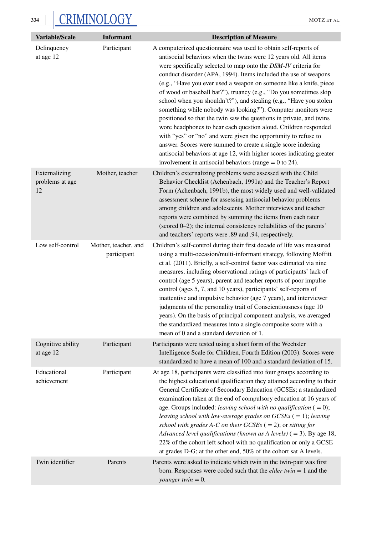# **334** CRIMINOLOGY MOTZ ET AL.

| Variable/Scale                         | <b>Informant</b>                    | <b>Description of Measure</b>                                                                                                                                                                                                                                                                                                                                                                                                                                                                                                                                                                                                                                                                                                                                                                                                                                                                                                                                               |
|----------------------------------------|-------------------------------------|-----------------------------------------------------------------------------------------------------------------------------------------------------------------------------------------------------------------------------------------------------------------------------------------------------------------------------------------------------------------------------------------------------------------------------------------------------------------------------------------------------------------------------------------------------------------------------------------------------------------------------------------------------------------------------------------------------------------------------------------------------------------------------------------------------------------------------------------------------------------------------------------------------------------------------------------------------------------------------|
| Delinquency<br>at age 12               | Participant                         | A computerized questionnaire was used to obtain self-reports of<br>antisocial behaviors when the twins were 12 years old. All items<br>were specifically selected to map onto the DSM-IV criteria for<br>conduct disorder (APA, 1994). Items included the use of weapons<br>(e.g., "Have you ever used a weapon on someone like a knife, piece<br>of wood or baseball bat?"), truancy (e.g., "Do you sometimes skip<br>school when you shouldn't?"), and stealing (e.g., "Have you stolen<br>something while nobody was looking?"). Computer monitors were<br>positioned so that the twin saw the questions in private, and twins<br>wore headphones to hear each question aloud. Children responded<br>with "yes" or "no" and were given the opportunity to refuse to<br>answer. Scores were summed to create a single score indexing<br>antisocial behaviors at age 12, with higher scores indicating greater<br>involvement in antisocial behaviors (range $= 0$ to 24). |
| Externalizing<br>problems at age<br>12 | Mother, teacher                     | Children's externalizing problems were assessed with the Child<br>Behavior Checklist (Achenbach, 1991a) and the Teacher's Report<br>Form (Achenbach, 1991b), the most widely used and well-validated<br>assessment scheme for assessing antisocial behavior problems<br>among children and adolescents. Mother interviews and teacher<br>reports were combined by summing the items from each rater<br>(scored 0-2); the internal consistency reliabilities of the parents'<br>and teachers' reports were .89 and .94, respectively.                                                                                                                                                                                                                                                                                                                                                                                                                                        |
| Low self-control                       | Mother, teacher, and<br>participant | Children's self-control during their first decade of life was measured<br>using a multi-occasion/multi-informant strategy, following Moffitt<br>et al. (2011). Briefly, a self-control factor was estimated via nine<br>measures, including observational ratings of participants' lack of<br>control (age 5 years), parent and teacher reports of poor impulse<br>control (ages 5, 7, and 10 years), participants' self-reports of<br>inattentive and impulsive behavior (age 7 years), and interviewer<br>judgments of the personality trait of Conscientiousness (age 10<br>years). On the basis of principal component analysis, we averaged<br>the standardized measures into a single composite score with a<br>mean of 0 and a standard deviation of 1.                                                                                                                                                                                                              |
| Cognitive ability<br>at age 12         | Participant                         | Participants were tested using a short form of the Wechsler<br>Intelligence Scale for Children, Fourth Edition (2003). Scores were<br>standardized to have a mean of 100 and a standard deviation of 15.                                                                                                                                                                                                                                                                                                                                                                                                                                                                                                                                                                                                                                                                                                                                                                    |
| Educational<br>achievement             | Participant                         | At age 18, participants were classified into four groups according to<br>the highest educational qualification they attained according to their<br>General Certificate of Secondary Education (GCSEs; a standardized<br>examination taken at the end of compulsory education at 16 years of<br>age. Groups included: leaving school with no qualification $( = 0);$<br>leaving school with low-average grades on $GCSEs$ (= 1); leaving<br>school with grades A-C on their GCSEs $( = 2)$ ; or sitting for<br>Advanced level qualifications (known as A levels) $(= 3)$ . By age 18,<br>22% of the cohort left school with no qualification or only a GCSE<br>at grades D-G; at the other end, 50% of the cohort sat A levels.                                                                                                                                                                                                                                              |
| Twin identifier                        | Parents                             | Parents were asked to indicate which twin in the twin-pair was first<br>born. Responses were coded such that the <i>elder</i> twin $= 1$ and the<br>younger twin $= 0$ .                                                                                                                                                                                                                                                                                                                                                                                                                                                                                                                                                                                                                                                                                                                                                                                                    |